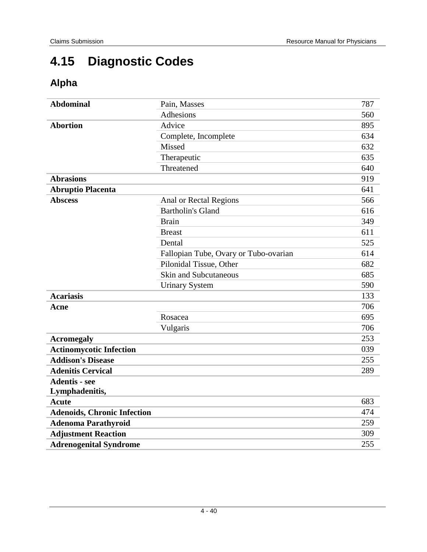# **4.15 Diagnostic Codes**

# **Alpha**

| <b>Abdominal</b>                   | Pain, Masses                          | 787 |
|------------------------------------|---------------------------------------|-----|
|                                    | Adhesions                             | 560 |
| <b>Abortion</b>                    | Advice                                | 895 |
|                                    | Complete, Incomplete                  | 634 |
|                                    | Missed                                | 632 |
|                                    | Therapeutic                           | 635 |
|                                    | Threatened                            | 640 |
| <b>Abrasions</b>                   |                                       | 919 |
| <b>Abruptio Placenta</b>           |                                       | 641 |
| <b>Abscess</b>                     | Anal or Rectal Regions                | 566 |
|                                    | <b>Bartholin's Gland</b>              | 616 |
|                                    | <b>Brain</b>                          | 349 |
|                                    | <b>Breast</b>                         | 611 |
|                                    | Dental                                | 525 |
|                                    | Fallopian Tube, Ovary or Tubo-ovarian | 614 |
|                                    | Pilonidal Tissue, Other               | 682 |
|                                    | <b>Skin and Subcutaneous</b>          | 685 |
|                                    | <b>Urinary System</b>                 | 590 |
| <b>Acariasis</b>                   |                                       | 133 |
| Acne                               |                                       | 706 |
|                                    | Rosacea                               | 695 |
|                                    | Vulgaris                              | 706 |
| <b>Acromegaly</b>                  |                                       | 253 |
| <b>Actinomycotic Infection</b>     |                                       | 039 |
| <b>Addison's Disease</b>           |                                       | 255 |
| <b>Adenitis Cervical</b>           |                                       | 289 |
| <b>Adentis - see</b>               |                                       |     |
| Lymphadenitis,                     |                                       |     |
| <b>Acute</b>                       |                                       | 683 |
| <b>Adenoids, Chronic Infection</b> |                                       | 474 |
| <b>Adenoma Parathyroid</b>         |                                       | 259 |
| <b>Adjustment Reaction</b>         |                                       | 309 |
| <b>Adrenogenital Syndrome</b>      |                                       | 255 |
|                                    |                                       |     |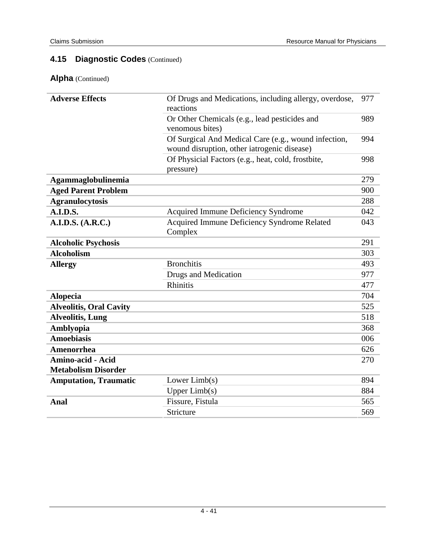| <b>Adverse Effects</b>                                 | Of Drugs and Medications, including allergy, overdose,<br>reactions                                 |     |
|--------------------------------------------------------|-----------------------------------------------------------------------------------------------------|-----|
|                                                        | Or Other Chemicals (e.g., lead pesticides and<br>venomous bites)                                    | 989 |
|                                                        | Of Surgical And Medical Care (e.g., wound infection,<br>wound disruption, other iatrogenic disease) | 994 |
|                                                        | Of Physicial Factors (e.g., heat, cold, frostbite,<br>pressure)                                     | 998 |
| Agammaglobulinemia                                     |                                                                                                     | 279 |
| <b>Aged Parent Problem</b>                             |                                                                                                     | 900 |
| <b>Agranulocytosis</b>                                 |                                                                                                     | 288 |
| <b>A.I.D.S.</b>                                        | <b>Acquired Immune Deficiency Syndrome</b>                                                          | 042 |
| A.I.D.S. (A.R.C.)                                      | <b>Acquired Immune Deficiency Syndrome Related</b><br>Complex                                       | 043 |
| <b>Alcoholic Psychosis</b>                             |                                                                                                     | 291 |
| <b>Alcoholism</b>                                      |                                                                                                     | 303 |
| <b>Allergy</b>                                         | <b>Bronchitis</b>                                                                                   | 493 |
|                                                        | <b>Drugs and Medication</b>                                                                         | 977 |
|                                                        | <b>Rhinitis</b>                                                                                     | 477 |
| <b>Alopecia</b>                                        |                                                                                                     | 704 |
| <b>Alveolitis, Oral Cavity</b>                         |                                                                                                     | 525 |
| <b>Alveolitis, Lung</b>                                |                                                                                                     | 518 |
| Amblyopia                                              |                                                                                                     | 368 |
| <b>Amoebiasis</b>                                      |                                                                                                     | 006 |
| <b>Amenorrhea</b>                                      |                                                                                                     | 626 |
| <b>Amino-acid - Acid</b><br><b>Metabolism Disorder</b> |                                                                                                     | 270 |
| <b>Amputation, Traumatic</b>                           | Lower Limb(s)                                                                                       | 894 |
|                                                        | Upper $Limb(s)$                                                                                     | 884 |
| Anal                                                   | Fissure, Fistula                                                                                    | 565 |
|                                                        | Stricture                                                                                           | 569 |
|                                                        |                                                                                                     |     |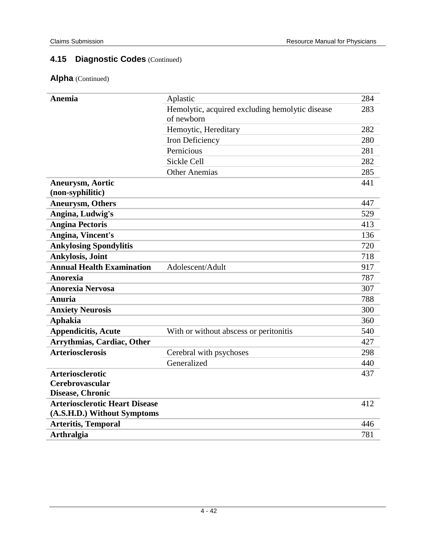| <b>Anemia</b>                         | Aplastic                                        | 284 |
|---------------------------------------|-------------------------------------------------|-----|
|                                       | Hemolytic, acquired excluding hemolytic disease | 283 |
|                                       | of newborn                                      |     |
|                                       | Hemoytic, Hereditary                            | 282 |
|                                       | Iron Deficiency                                 | 280 |
|                                       | Pernicious                                      | 281 |
|                                       | <b>Sickle Cell</b>                              | 282 |
|                                       | <b>Other Anemias</b>                            | 285 |
| <b>Aneurysm, Aortic</b>               |                                                 | 441 |
| (non-syphilitic)                      |                                                 |     |
| <b>Aneurysm, Others</b>               |                                                 | 447 |
| Angina, Ludwig's                      |                                                 | 529 |
| <b>Angina Pectoris</b>                |                                                 | 413 |
| Angina, Vincent's                     |                                                 | 136 |
| <b>Ankylosing Spondylitis</b>         |                                                 | 720 |
| Ankylosis, Joint                      |                                                 | 718 |
| <b>Annual Health Examination</b>      | Adolescent/Adult                                | 917 |
| <b>Anorexia</b>                       |                                                 | 787 |
| <b>Anorexia Nervosa</b>               |                                                 | 307 |
| Anuria                                |                                                 | 788 |
| <b>Anxiety Neurosis</b>               |                                                 | 300 |
| <b>Aphakia</b>                        |                                                 | 360 |
| <b>Appendicitis, Acute</b>            | With or without abscess or peritonitis          | 540 |
| <b>Arrythmias, Cardiac, Other</b>     |                                                 | 427 |
| <b>Arteriosclerosis</b>               | Cerebral with psychoses                         | 298 |
|                                       | Generalized                                     | 440 |
| <b>Arteriosclerotic</b>               |                                                 | 437 |
| Cerebrovascular                       |                                                 |     |
| Disease, Chronic                      |                                                 |     |
| <b>Arteriosclerotic Heart Disease</b> |                                                 | 412 |
| (A.S.H.D.) Without Symptoms           |                                                 |     |
| <b>Arteritis, Temporal</b>            |                                                 | 446 |
| <b>Arthralgia</b>                     |                                                 | 781 |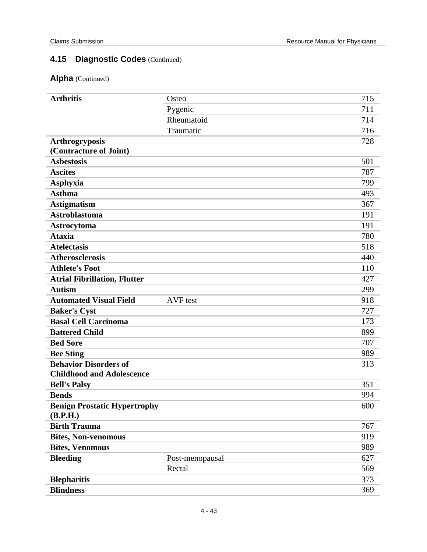| <b>Arthritis</b>                                                 | Osteo           | 715 |
|------------------------------------------------------------------|-----------------|-----|
|                                                                  | Pygenic         | 711 |
|                                                                  | Rheumatoid      | 714 |
|                                                                  | Traumatic       | 716 |
| <b>Arthrogryposis</b>                                            |                 | 728 |
| (Contracture of Joint)                                           |                 |     |
| <b>Asbestosis</b>                                                |                 | 501 |
| <b>Ascites</b>                                                   |                 | 787 |
| Asphyxia                                                         |                 | 799 |
| <b>Asthma</b>                                                    |                 | 493 |
| <b>Astigmatism</b>                                               |                 | 367 |
| <b>Astroblastoma</b>                                             |                 | 191 |
| Astrocytoma                                                      |                 | 191 |
| <b>Ataxia</b>                                                    |                 | 780 |
| <b>Atelectasis</b>                                               |                 | 518 |
| <b>Atherosclerosis</b>                                           |                 | 440 |
| <b>Athlete's Foot</b>                                            |                 | 110 |
| <b>Atrial Fibrillation, Flutter</b>                              |                 | 427 |
| <b>Autism</b>                                                    |                 | 299 |
| <b>Automated Visual Field</b>                                    | AVF test        | 918 |
| <b>Baker's Cyst</b>                                              |                 | 727 |
| <b>Basal Cell Carcinoma</b>                                      |                 | 173 |
| <b>Battered Child</b>                                            |                 | 899 |
| <b>Bed Sore</b>                                                  |                 | 707 |
| <b>Bee Sting</b>                                                 |                 | 989 |
| <b>Behavior Disorders of</b><br><b>Childhood and Adolescence</b> |                 | 313 |
| <b>Bell's Palsy</b>                                              |                 | 351 |
| <b>Bends</b>                                                     |                 | 994 |
| <b>Benign Prostatic Hypertrophy</b><br>(B.P.H.)                  |                 | 600 |
| <b>Birth Trauma</b>                                              |                 | 767 |
| <b>Bites, Non-venomous</b>                                       |                 | 919 |
| <b>Bites, Venomous</b>                                           |                 | 989 |
| <b>Bleeding</b>                                                  | Post-menopausal | 627 |
|                                                                  | Rectal          | 569 |
| <b>Blepharitis</b>                                               |                 | 373 |
| <b>Blindness</b>                                                 |                 | 369 |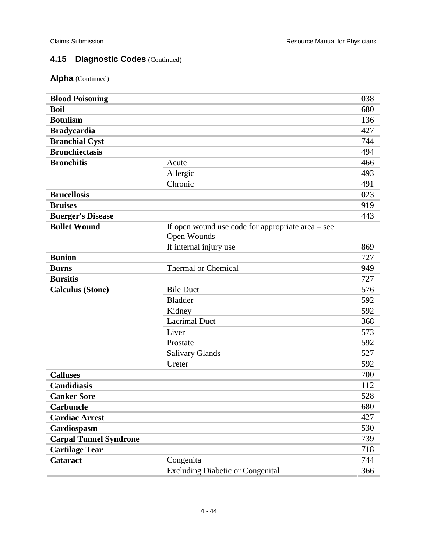| <b>Blood Poisoning</b>        |                                                                    | 038 |
|-------------------------------|--------------------------------------------------------------------|-----|
| <b>Boil</b>                   |                                                                    | 680 |
| <b>Botulism</b>               |                                                                    | 136 |
| <b>Bradycardia</b>            |                                                                    | 427 |
| <b>Branchial Cyst</b>         |                                                                    | 744 |
| <b>Bronchiectasis</b>         |                                                                    | 494 |
| <b>Bronchitis</b>             | Acute                                                              | 466 |
|                               | Allergic                                                           | 493 |
|                               | Chronic                                                            | 491 |
| <b>Brucellosis</b>            |                                                                    | 023 |
| <b>Bruises</b>                |                                                                    | 919 |
| <b>Buerger's Disease</b>      |                                                                    | 443 |
| <b>Bullet Wound</b>           | If open wound use code for appropriate area $-$ see<br>Open Wounds |     |
|                               | If internal injury use                                             | 869 |
| <b>Bunion</b>                 |                                                                    | 727 |
| <b>Burns</b>                  | <b>Thermal or Chemical</b>                                         | 949 |
| <b>Bursitis</b>               |                                                                    | 727 |
| <b>Calculus (Stone)</b>       | <b>Bile Duct</b>                                                   | 576 |
|                               | <b>Bladder</b>                                                     | 592 |
|                               | Kidney                                                             | 592 |
|                               | <b>Lacrimal Duct</b>                                               | 368 |
|                               | Liver                                                              | 573 |
|                               | Prostate                                                           | 592 |
|                               | <b>Salivary Glands</b>                                             | 527 |
|                               | Ureter                                                             | 592 |
| <b>Calluses</b>               |                                                                    | 700 |
| <b>Candidiasis</b>            |                                                                    | 112 |
| <b>Canker Sore</b>            |                                                                    | 528 |
| <b>Carbuncle</b>              |                                                                    | 680 |
| <b>Cardiac Arrest</b>         |                                                                    | 427 |
| Cardiospasm                   |                                                                    | 530 |
| <b>Carpal Tunnel Syndrone</b> |                                                                    | 739 |
| <b>Cartilage Tear</b>         |                                                                    | 718 |
| Cataract                      | Congenita                                                          | 744 |
|                               | <b>Excluding Diabetic or Congenital</b>                            | 366 |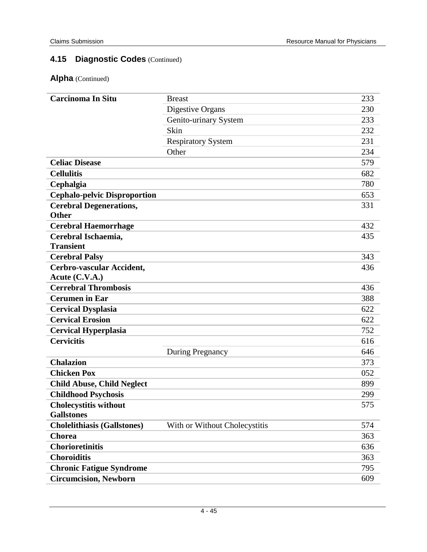| <b>Carcinoma In Situ</b>            | <b>Breast</b>                 | 233 |
|-------------------------------------|-------------------------------|-----|
|                                     | Digestive Organs              | 230 |
|                                     | Genito-urinary System         | 233 |
|                                     | Skin                          | 232 |
|                                     | <b>Respiratory System</b>     | 231 |
|                                     | Other                         | 234 |
| <b>Celiac Disease</b>               |                               | 579 |
| <b>Cellulitis</b>                   |                               | 682 |
| Cephalgia                           |                               | 780 |
| <b>Cephalo-pelvic Disproportion</b> |                               | 653 |
| <b>Cerebral Degenerations,</b>      |                               | 331 |
| <b>Other</b>                        |                               |     |
| <b>Cerebral Haemorrhage</b>         |                               | 432 |
| Cerebral Ischaemia,                 |                               | 435 |
| <b>Transient</b>                    |                               |     |
| <b>Cerebral Palsy</b>               |                               | 343 |
| Cerbro-vascular Accident,           |                               | 436 |
| Acute (C.V.A.)                      |                               |     |
| <b>Cerrebral Thrombosis</b>         |                               | 436 |
| <b>Cerumen in Ear</b>               |                               | 388 |
| <b>Cervical Dysplasia</b>           |                               | 622 |
| <b>Cervical Erosion</b>             |                               | 622 |
| <b>Cervical Hyperplasia</b>         |                               | 752 |
| <b>Cervicitis</b>                   |                               | 616 |
|                                     | During Pregnancy              | 646 |
| <b>Chalazion</b>                    |                               | 373 |
| <b>Chicken Pox</b>                  |                               | 052 |
| <b>Child Abuse, Child Neglect</b>   |                               | 899 |
| <b>Childhood Psychosis</b>          |                               | 299 |
| <b>Cholecystitis without</b>        |                               | 575 |
| <b>Gallstones</b>                   |                               |     |
| <b>Cholelithiasis (Gallstones)</b>  | With or Without Cholecystitis | 574 |
| <b>Chorea</b>                       |                               | 363 |
| <b>Chorioretinitis</b>              |                               | 636 |
| <b>Choroiditis</b>                  |                               | 363 |
| <b>Chronic Fatigue Syndrome</b>     |                               | 795 |
| <b>Circumcision, Newborn</b>        |                               | 609 |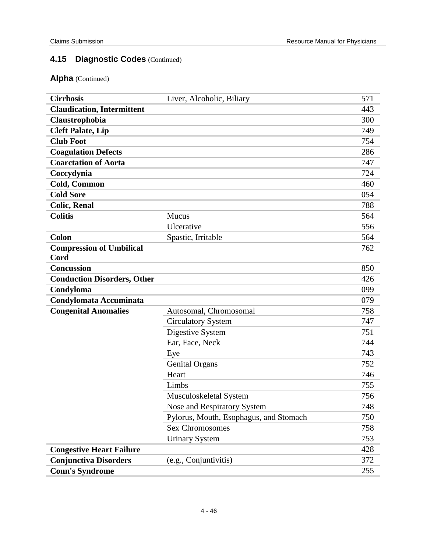| <b>Cirrhosis</b>                        | Liver, Alcoholic, Biliary              | 571 |
|-----------------------------------------|----------------------------------------|-----|
| <b>Claudication, Intermittent</b>       |                                        | 443 |
| Claustrophobia                          |                                        | 300 |
| <b>Cleft Palate, Lip</b>                |                                        | 749 |
| <b>Club Foot</b>                        |                                        | 754 |
| <b>Coagulation Defects</b>              |                                        | 286 |
| <b>Coarctation of Aorta</b>             |                                        | 747 |
| Coccydynia                              |                                        | 724 |
| Cold, Common                            |                                        | 460 |
| <b>Cold Sore</b>                        |                                        | 054 |
| <b>Colic, Renal</b>                     |                                        | 788 |
| <b>Colitis</b>                          | Mucus                                  | 564 |
|                                         | Ulcerative                             | 556 |
| Colon                                   | Spastic, Irritable                     | 564 |
| <b>Compression of Umbilical</b><br>Cord |                                        | 762 |
| <b>Concussion</b>                       |                                        | 850 |
| <b>Conduction Disorders, Other</b>      |                                        | 426 |
| Condyloma                               |                                        | 099 |
| <b>Condylomata Accuminata</b>           |                                        | 079 |
| <b>Congenital Anomalies</b>             | Autosomal, Chromosomal                 | 758 |
|                                         | <b>Circulatory System</b>              | 747 |
|                                         | Digestive System                       | 751 |
|                                         | Ear, Face, Neck                        | 744 |
|                                         | Eye                                    | 743 |
|                                         | <b>Genital Organs</b>                  | 752 |
|                                         | Heart                                  | 746 |
|                                         | Limbs                                  | 755 |
|                                         | Musculoskeletal System                 | 756 |
|                                         | Nose and Respiratory System            | 748 |
|                                         | Pylorus, Mouth, Esophagus, and Stomach | 750 |
|                                         | <b>Sex Chromosomes</b>                 | 758 |
|                                         | <b>Urinary System</b>                  | 753 |
| <b>Congestive Heart Failure</b>         |                                        | 428 |
| <b>Conjunctiva Disorders</b>            | (e.g., Conjuntivitis)                  | 372 |
| <b>Conn's Syndrome</b>                  |                                        | 255 |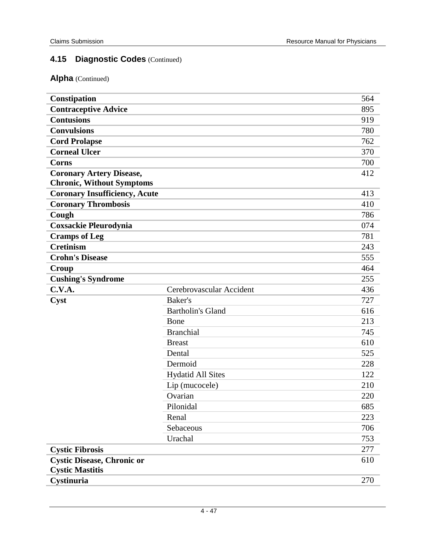| Constipation                         |                          | 564 |
|--------------------------------------|--------------------------|-----|
| <b>Contraceptive Advice</b>          |                          | 895 |
| <b>Contusions</b>                    |                          | 919 |
| <b>Convulsions</b>                   |                          | 780 |
| <b>Cord Prolapse</b>                 |                          | 762 |
| <b>Corneal Ulcer</b>                 |                          | 370 |
| <b>Corns</b>                         |                          | 700 |
| <b>Coronary Artery Disease,</b>      |                          | 412 |
| <b>Chronic, Without Symptoms</b>     |                          |     |
| <b>Coronary Insufficiency, Acute</b> |                          | 413 |
| <b>Coronary Thrombosis</b>           |                          | 410 |
| Cough                                |                          | 786 |
| <b>Coxsackie Pleurodynia</b>         |                          | 074 |
| <b>Cramps of Leg</b>                 |                          | 781 |
| <b>Cretinism</b>                     |                          | 243 |
| <b>Crohn's Disease</b>               |                          | 555 |
| Croup                                |                          | 464 |
| <b>Cushing's Syndrome</b>            |                          | 255 |
| C.V.A.                               | Cerebrovascular Accident | 436 |
| Cyst                                 | Baker's                  | 727 |
|                                      | <b>Bartholin's Gland</b> | 616 |
|                                      | Bone                     | 213 |
|                                      | <b>Branchial</b>         | 745 |
|                                      | <b>Breast</b>            | 610 |
|                                      | Dental                   | 525 |
|                                      | Dermoid                  | 228 |
|                                      | <b>Hydatid All Sites</b> | 122 |
|                                      | Lip (mucocele)           | 210 |
|                                      | Ovarian                  | 220 |
|                                      | Pilonidal                | 685 |
|                                      | Renal                    | 223 |
|                                      | Sebaceous                | 706 |
|                                      | Urachal                  | 753 |
| <b>Cystic Fibrosis</b>               |                          | 277 |
| <b>Cystic Disease, Chronic or</b>    |                          | 610 |
| <b>Cystic Mastitis</b>               |                          |     |
| Cystinuria                           |                          | 270 |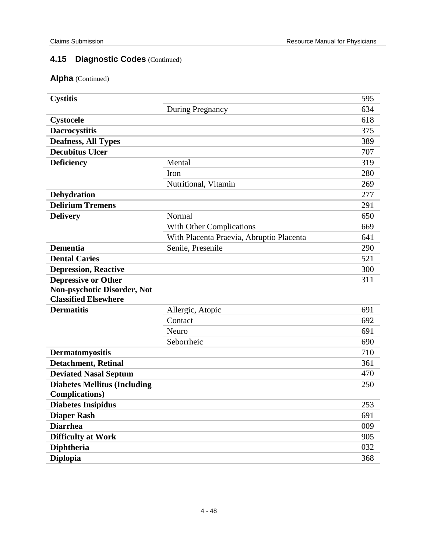| <b>Cystitis</b>                     |                                          | 595 |
|-------------------------------------|------------------------------------------|-----|
|                                     | During Pregnancy                         | 634 |
| <b>Cystocele</b>                    |                                          | 618 |
| <b>Dacrocystitis</b>                |                                          | 375 |
| <b>Deafness, All Types</b>          |                                          | 389 |
| <b>Decubitus Ulcer</b>              |                                          | 707 |
| <b>Deficiency</b>                   | Mental                                   | 319 |
|                                     | Iron                                     | 280 |
|                                     | Nutritional, Vitamin                     | 269 |
| Dehydration                         |                                          | 277 |
| <b>Delirium Tremens</b>             |                                          | 291 |
| <b>Delivery</b>                     | Normal                                   | 650 |
|                                     | With Other Complications                 | 669 |
|                                     | With Placenta Praevia, Abruptio Placenta | 641 |
| <b>Dementia</b>                     | Senile, Presenile                        | 290 |
| <b>Dental Caries</b>                |                                          | 521 |
| <b>Depression, Reactive</b>         |                                          | 300 |
| <b>Depressive or Other</b>          |                                          | 311 |
| <b>Non-psychotic Disorder, Not</b>  |                                          |     |
| <b>Classified Elsewhere</b>         |                                          |     |
| <b>Dermatitis</b>                   | Allergic, Atopic                         | 691 |
|                                     | Contact                                  | 692 |
|                                     | Neuro                                    | 691 |
|                                     | Seborrheic                               | 690 |
| Dermatomyositis                     |                                          | 710 |
| <b>Detachment, Retinal</b>          |                                          | 361 |
| <b>Deviated Nasal Septum</b>        |                                          | 470 |
| <b>Diabetes Mellitus (Including</b> |                                          | 250 |
| <b>Complications</b> )              |                                          |     |
| <b>Diabetes Insipidus</b>           |                                          | 253 |
| <b>Diaper Rash</b>                  |                                          | 691 |
| <b>Diarrhea</b>                     |                                          | 009 |
| <b>Difficulty at Work</b>           |                                          | 905 |
| <b>Diphtheria</b>                   |                                          | 032 |
| <b>Diplopia</b>                     |                                          | 368 |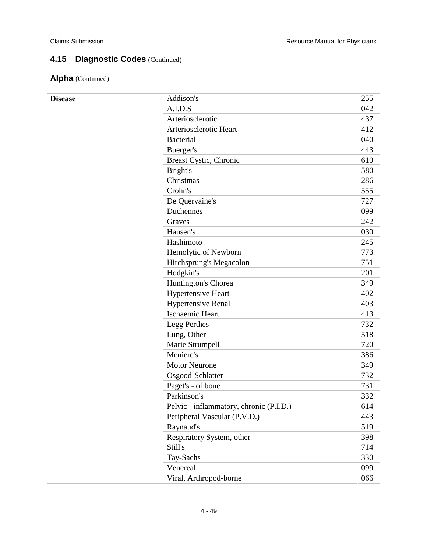| <b>Disease</b> | Addison's                               | 255 |
|----------------|-----------------------------------------|-----|
|                | A.I.D.S                                 | 042 |
|                | Arteriosclerotic                        | 437 |
|                | Arteriosclerotic Heart                  | 412 |
|                | <b>Bacterial</b>                        | 040 |
|                | Buerger's                               | 443 |
|                | Breast Cystic, Chronic                  | 610 |
|                | Bright's                                | 580 |
|                | Christmas                               | 286 |
|                | Crohn's                                 | 555 |
|                | De Quervaine's                          | 727 |
|                | Duchennes                               | 099 |
|                | Graves                                  | 242 |
|                | Hansen's                                | 030 |
|                | Hashimoto                               | 245 |
|                | Hemolytic of Newborn                    | 773 |
|                | Hirchsprung's Megacolon                 | 751 |
|                | Hodgkin's                               | 201 |
|                | Huntington's Chorea                     | 349 |
|                | <b>Hypertensive Heart</b>               | 402 |
|                | <b>Hypertensive Renal</b>               | 403 |
|                | <b>Ischaemic Heart</b>                  | 413 |
|                | Legg Perthes                            | 732 |
|                | Lung, Other                             | 518 |
|                | Marie Strumpell                         | 720 |
|                | Meniere's                               | 386 |
|                | <b>Motor Neurone</b>                    | 349 |
|                | Osgood-Schlatter                        | 732 |
|                | Paget's - of bone                       | 731 |
|                | Parkinson's                             | 332 |
|                | Pelvic - inflammatory, chronic (P.I.D.) | 614 |
|                | Peripheral Vascular (P.V.D.)            | 443 |
|                | Raynaud's                               | 519 |
|                | Respiratory System, other               | 398 |
|                | Still's                                 | 714 |
|                | Tay-Sachs                               | 330 |
|                | Venereal                                | 099 |
|                | Viral, Arthropod-borne                  | 066 |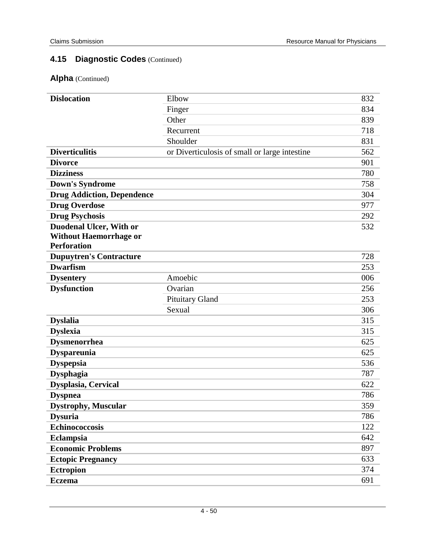| <b>Dislocation</b>                | Elbow                                         | 832 |
|-----------------------------------|-----------------------------------------------|-----|
|                                   | Finger                                        | 834 |
|                                   | Other                                         | 839 |
|                                   | Recurrent                                     | 718 |
|                                   | Shoulder                                      | 831 |
| <b>Diverticulitis</b>             | or Diverticulosis of small or large intestine | 562 |
| <b>Divorce</b>                    |                                               | 901 |
| <b>Dizziness</b>                  |                                               | 780 |
| <b>Down's Syndrome</b>            |                                               | 758 |
| <b>Drug Addiction, Dependence</b> |                                               | 304 |
| <b>Drug Overdose</b>              |                                               | 977 |
| <b>Drug Psychosis</b>             |                                               | 292 |
| <b>Duodenal Ulcer, With or</b>    |                                               | 532 |
| <b>Without Haemorrhage or</b>     |                                               |     |
| <b>Perforation</b>                |                                               |     |
| <b>Dupuytren's Contracture</b>    |                                               | 728 |
| <b>Dwarfism</b>                   |                                               | 253 |
| <b>Dysentery</b>                  | Amoebic                                       | 006 |
| <b>Dysfunction</b>                | Ovarian                                       | 256 |
|                                   | <b>Pituitary Gland</b>                        | 253 |
|                                   | Sexual                                        | 306 |
| <b>Dyslalia</b>                   |                                               | 315 |
| <b>Dyslexia</b>                   |                                               | 315 |
| <b>Dysmenorrhea</b>               |                                               | 625 |
| <b>Dyspareunia</b>                |                                               | 625 |
| <b>Dyspepsia</b>                  |                                               | 536 |
| Dysphagia                         |                                               | 787 |
| <b>Dysplasia, Cervical</b>        |                                               | 622 |
| <b>Dyspnea</b>                    |                                               | 786 |
| <b>Dystrophy, Muscular</b>        |                                               | 359 |
| <b>Dysuria</b>                    |                                               | 786 |
| <b>Echinococcosis</b>             |                                               | 122 |
| Eclampsia                         |                                               | 642 |
| <b>Economic Problems</b>          |                                               | 897 |
| <b>Ectopic Pregnancy</b>          |                                               | 633 |
| <b>Ectropion</b>                  |                                               | 374 |
| <b>Eczema</b>                     |                                               | 691 |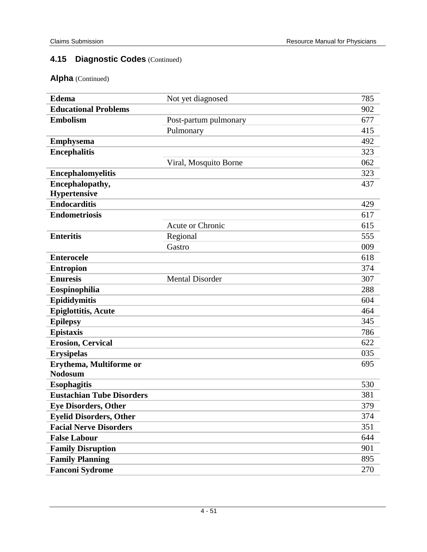| <b>Edema</b>                     | Not yet diagnosed       | 785 |
|----------------------------------|-------------------------|-----|
| <b>Educational Problems</b>      |                         | 902 |
| <b>Embolism</b>                  | Post-partum pulmonary   | 677 |
|                                  | Pulmonary               | 415 |
| <b>Emphysema</b>                 |                         | 492 |
| <b>Encephalitis</b>              |                         | 323 |
|                                  | Viral, Mosquito Borne   | 062 |
| <b>Encephalomyelitis</b>         |                         | 323 |
| Encephalopathy,                  |                         | 437 |
| <b>Hypertensive</b>              |                         |     |
| <b>Endocarditis</b>              |                         | 429 |
| <b>Endometriosis</b>             |                         | 617 |
|                                  | <b>Acute or Chronic</b> | 615 |
| <b>Enteritis</b>                 | Regional                | 555 |
|                                  | Gastro                  | 009 |
| <b>Enterocele</b>                |                         | 618 |
| <b>Entropion</b>                 |                         | 374 |
| <b>Enuresis</b>                  | <b>Mental Disorder</b>  | 307 |
| Eospinophilia                    |                         | 288 |
| Epididymitis                     |                         | 604 |
| <b>Epiglottitis, Acute</b>       |                         | 464 |
| <b>Epilepsy</b>                  |                         | 345 |
| <b>Epistaxis</b>                 |                         | 786 |
| <b>Erosion, Cervical</b>         |                         | 622 |
| <b>Erysipelas</b>                |                         | 035 |
| Erythema, Multiforme or          |                         | 695 |
| <b>Nodosum</b>                   |                         |     |
| <b>Esophagitis</b>               |                         | 530 |
| <b>Eustachian Tube Disorders</b> |                         | 381 |
| <b>Eye Disorders, Other</b>      |                         | 379 |
| <b>Eyelid Disorders, Other</b>   |                         | 374 |
| <b>Facial Nerve Disorders</b>    |                         | 351 |
| <b>False Labour</b>              |                         | 644 |
| <b>Family Disruption</b>         |                         | 901 |
| <b>Family Planning</b>           |                         | 895 |
| <b>Fanconi Sydrome</b>           |                         | 270 |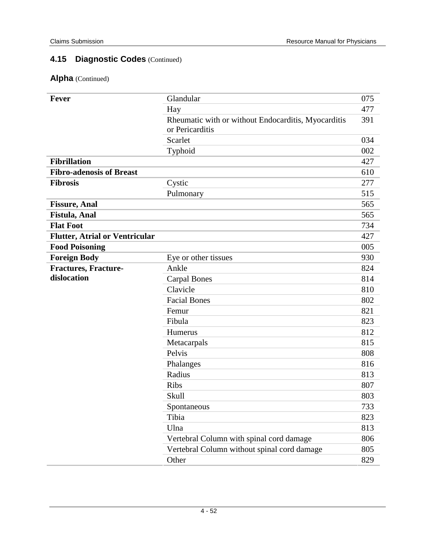| <b>Fever</b>                          | Glandular                                           | 075 |
|---------------------------------------|-----------------------------------------------------|-----|
|                                       | Hay                                                 | 477 |
|                                       | Rheumatic with or without Endocarditis, Myocarditis | 391 |
|                                       | or Pericarditis                                     |     |
|                                       | Scarlet                                             | 034 |
|                                       | Typhoid                                             | 002 |
| <b>Fibrillation</b>                   |                                                     | 427 |
| <b>Fibro-adenosis of Breast</b>       |                                                     | 610 |
| <b>Fibrosis</b>                       | Cystic                                              | 277 |
|                                       | Pulmonary                                           | 515 |
| <b>Fissure, Anal</b>                  |                                                     | 565 |
| Fistula, Anal                         |                                                     | 565 |
| <b>Flat Foot</b>                      |                                                     | 734 |
| <b>Flutter, Atrial or Ventricular</b> |                                                     | 427 |
| <b>Food Poisoning</b>                 |                                                     | 005 |
| <b>Foreign Body</b>                   | Eye or other tissues                                | 930 |
| Fractures, Fracture-                  | Ankle                                               | 824 |
| dislocation                           | <b>Carpal Bones</b>                                 | 814 |
|                                       | Clavicle                                            | 810 |
|                                       | <b>Facial Bones</b>                                 | 802 |
|                                       | Femur                                               | 821 |
|                                       | Fibula                                              | 823 |
|                                       | Humerus                                             | 812 |
|                                       | Metacarpals                                         | 815 |
|                                       | Pelvis                                              | 808 |
|                                       | Phalanges                                           | 816 |
|                                       | Radius                                              | 813 |
|                                       | <b>Ribs</b>                                         | 807 |
|                                       | Skull                                               | 803 |
|                                       | Spontaneous                                         | 733 |
|                                       | Tibia                                               | 823 |
|                                       | Ulna                                                | 813 |
|                                       | Vertebral Column with spinal cord damage            | 806 |
|                                       | Vertebral Column without spinal cord damage         | 805 |
|                                       | Other                                               | 829 |
|                                       |                                                     |     |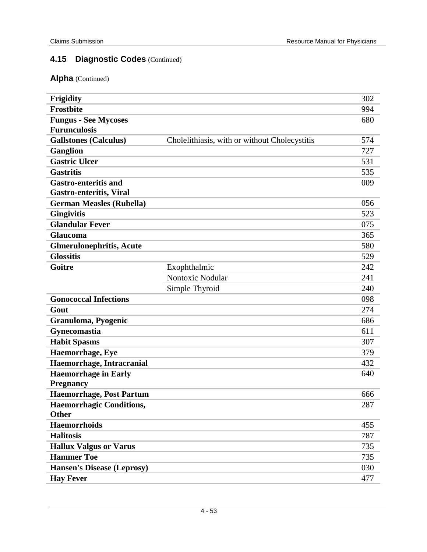| Frigidity                         |                                               | 302 |
|-----------------------------------|-----------------------------------------------|-----|
| <b>Frostbite</b>                  |                                               | 994 |
| <b>Fungus - See Mycoses</b>       |                                               | 680 |
| <b>Furunculosis</b>               |                                               |     |
| <b>Gallstones (Calculus)</b>      | Cholelithiasis, with or without Cholecystitis | 574 |
| <b>Ganglion</b>                   |                                               | 727 |
| <b>Gastric Ulcer</b>              |                                               | 531 |
| <b>Gastritis</b>                  |                                               | 535 |
| <b>Gastro-enteritis and</b>       |                                               | 009 |
| <b>Gastro-enteritis, Viral</b>    |                                               |     |
| <b>German Measles (Rubella)</b>   |                                               | 056 |
| <b>Gingivitis</b>                 |                                               | 523 |
| <b>Glandular Fever</b>            |                                               | 075 |
| Glaucoma                          |                                               | 365 |
| <b>Glmerulonephritis, Acute</b>   |                                               | 580 |
| <b>Glossitis</b>                  |                                               | 529 |
| Goitre                            | Exophthalmic                                  | 242 |
|                                   | Nontoxic Nodular                              | 241 |
|                                   | Simple Thyroid                                | 240 |
| <b>Gonococcal Infections</b>      |                                               | 098 |
| Gout                              |                                               | 274 |
| Granuloma, Pyogenic               |                                               | 686 |
| Gynecomastia                      |                                               | 611 |
| <b>Habit Spasms</b>               |                                               | 307 |
| Haemorrhage, Eye                  |                                               | 379 |
| Haemorrhage, Intracranial         |                                               | 432 |
| <b>Haemorrhage in Early</b>       |                                               | 640 |
| <b>Pregnancy</b>                  |                                               |     |
| <b>Haemorrhage, Post Partum</b>   |                                               | 666 |
| <b>Haemorrhagic Conditions,</b>   |                                               | 287 |
| <b>Other</b>                      |                                               |     |
| <b>Haemorrhoids</b>               |                                               | 455 |
| <b>Halitosis</b>                  |                                               | 787 |
| <b>Hallux Valgus or Varus</b>     |                                               | 735 |
| <b>Hammer Toe</b>                 |                                               | 735 |
| <b>Hansen's Disease (Leprosy)</b> |                                               | 030 |
| <b>Hay Fever</b>                  |                                               | 477 |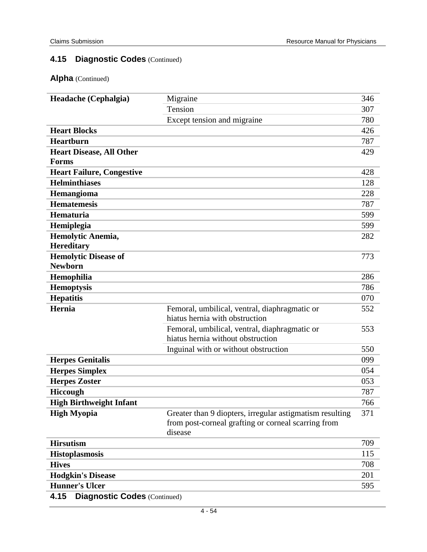| Headache (Cephalgia)                        | Migraine                                                 | 346 |
|---------------------------------------------|----------------------------------------------------------|-----|
|                                             | Tension                                                  | 307 |
|                                             | Except tension and migraine                              | 780 |
| <b>Heart Blocks</b>                         |                                                          | 426 |
| Heartburn                                   |                                                          | 787 |
| <b>Heart Disease, All Other</b>             |                                                          | 429 |
| Forms                                       |                                                          |     |
| <b>Heart Failure, Congestive</b>            |                                                          | 428 |
| <b>Helminthiases</b>                        |                                                          | 128 |
| Hemangioma                                  |                                                          | 228 |
| <b>Hematemesis</b>                          |                                                          | 787 |
| Hematuria                                   |                                                          | 599 |
| Hemiplegia                                  |                                                          | 599 |
| Hemolytic Anemia,                           |                                                          | 282 |
| <b>Hereditary</b>                           |                                                          |     |
| <b>Hemolytic Disease of</b>                 |                                                          | 773 |
| <b>Newborn</b>                              |                                                          |     |
| Hemophilia                                  |                                                          | 286 |
| <b>Hemoptysis</b>                           |                                                          | 786 |
| <b>Hepatitis</b>                            |                                                          | 070 |
| Hernia                                      | Femoral, umbilical, ventral, diaphragmatic or            | 552 |
|                                             | hiatus hernia with obstruction                           |     |
|                                             | Femoral, umbilical, ventral, diaphragmatic or            | 553 |
|                                             | hiatus hernia without obstruction                        |     |
|                                             | Inguinal with or without obstruction                     | 550 |
| <b>Herpes Genitalis</b>                     |                                                          | 099 |
| <b>Herpes Simplex</b>                       |                                                          | 054 |
| <b>Herpes Zoster</b>                        |                                                          | 053 |
| Hiccough                                    |                                                          | 787 |
| <b>High Birthweight Infant</b>              |                                                          | 766 |
| <b>High Myopia</b>                          | Greater than 9 diopters, irregular astigmatism resulting | 371 |
|                                             | from post-corneal grafting or corneal scarring from      |     |
|                                             | disease                                                  |     |
| <b>Hirsutism</b>                            |                                                          | 709 |
| <b>Histoplasmosis</b>                       |                                                          | 115 |
| <b>Hives</b>                                |                                                          | 708 |
| <b>Hodgkin's Disease</b>                    |                                                          | 201 |
| <b>Hunner's Ulcer</b>                       |                                                          | 595 |
| 4.15<br><b>Diagnostic Codes (Continued)</b> |                                                          |     |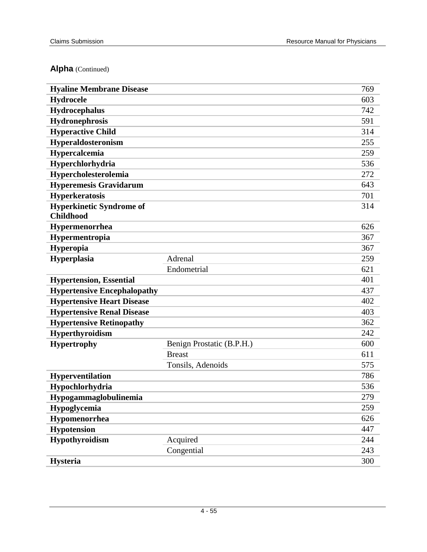| <b>Hyaline Membrane Disease</b>    |                           | 769 |
|------------------------------------|---------------------------|-----|
| Hydrocele                          |                           | 603 |
| Hydrocephalus                      |                           | 742 |
| Hydronephrosis                     |                           | 591 |
| <b>Hyperactive Child</b>           |                           | 314 |
| <b>Hyperaldosteronism</b>          |                           | 255 |
| Hypercalcemia                      |                           | 259 |
| Hyperchlorhydria                   |                           | 536 |
| Hypercholesterolemia               |                           | 272 |
| <b>Hyperemesis Gravidarum</b>      |                           | 643 |
| <b>Hyperkeratosis</b>              |                           | 701 |
| <b>Hyperkinetic Syndrome of</b>    |                           | 314 |
| <b>Childhood</b>                   |                           |     |
| Hypermenorrhea                     |                           | 626 |
| Hypermentropia                     |                           | 367 |
| <b>Hyperopia</b>                   |                           | 367 |
| Hyperplasia                        | Adrenal                   | 259 |
|                                    | Endometrial               | 621 |
| <b>Hypertension, Essential</b>     |                           | 401 |
| <b>Hypertensive Encephalopathy</b> |                           | 437 |
| <b>Hypertensive Heart Disease</b>  |                           | 402 |
| <b>Hypertensive Renal Disease</b>  |                           | 403 |
| <b>Hypertensive Retinopathy</b>    |                           | 362 |
| <b>Hyperthyroidism</b>             |                           | 242 |
| <b>Hypertrophy</b>                 | Benign Prostatic (B.P.H.) | 600 |
|                                    | <b>Breast</b>             | 611 |
|                                    | Tonsils, Adenoids         | 575 |
| Hyperventilation                   |                           | 786 |
| Hypochlorhydria                    |                           | 536 |
| Hypogammaglobulinemia              |                           | 279 |
| Hypoglycemia                       |                           | 259 |
| Hypomenorrhea                      |                           | 626 |
| <b>Hypotension</b>                 |                           | 447 |
| Hypothyroidism                     | Acquired                  | 244 |
|                                    | Congential                | 243 |
| <b>Hysteria</b>                    |                           | 300 |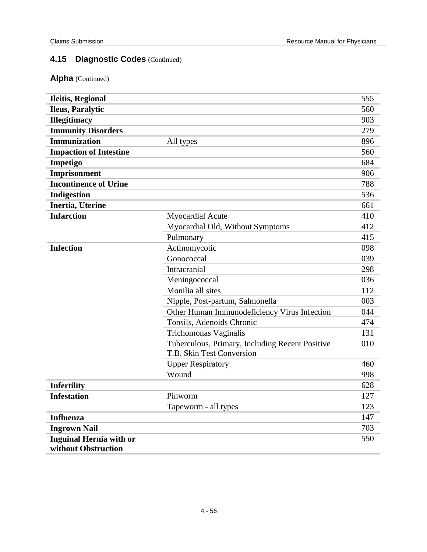| <b>Ileitis, Regional</b>       |                                                                              | 555 |
|--------------------------------|------------------------------------------------------------------------------|-----|
| Ileus, Paralytic               |                                                                              | 560 |
| <b>Illegitimacy</b>            |                                                                              | 903 |
| <b>Immunity Disorders</b>      |                                                                              | 279 |
| <b>Immunization</b>            | All types                                                                    | 896 |
| <b>Impaction of Intestine</b>  |                                                                              | 560 |
| Impetigo                       |                                                                              | 684 |
| Imprisonment                   |                                                                              | 906 |
| <b>Incontinence of Urine</b>   |                                                                              | 788 |
| Indigestion                    |                                                                              | 536 |
| Inertia, Uterine               |                                                                              | 661 |
| <b>Infarction</b>              | <b>Myocardial Acute</b>                                                      | 410 |
|                                | Myocardial Old, Without Symptoms                                             | 412 |
|                                | Pulmonary                                                                    | 415 |
| <b>Infection</b>               | Actinomycotic                                                                | 098 |
|                                | Gonococcal                                                                   | 039 |
|                                | Intracranial                                                                 | 298 |
|                                | Meningococcal                                                                | 036 |
|                                | Monilia all sites                                                            | 112 |
|                                | Nipple, Post-partum, Salmonella                                              | 003 |
|                                | Other Human Immunodeficiency Virus Infection                                 | 044 |
|                                | Tonsils, Adenoids Chronic                                                    | 474 |
|                                | Trichomonas Vaginalis                                                        | 131 |
|                                | Tuberculous, Primary, Including Recent Positive<br>T.B. Skin Test Conversion | 010 |
|                                | <b>Upper Respiratory</b>                                                     | 460 |
|                                | Wound                                                                        | 998 |
| <b>Infertility</b>             |                                                                              | 628 |
| <b>Infestation</b>             | Pinworm                                                                      | 127 |
|                                | Tapeworm - all types                                                         | 123 |
| <b>Influenza</b>               |                                                                              | 147 |
| <b>Ingrown Nail</b>            |                                                                              | 703 |
| <b>Inguinal Hernia with or</b> |                                                                              | 550 |
| without Obstruction            |                                                                              |     |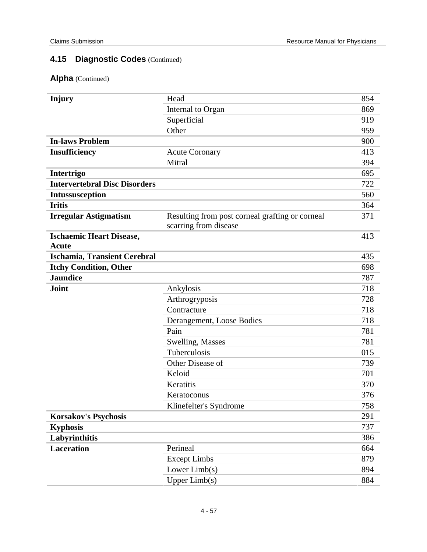| Injury                                          | Head                                                                     | 854 |
|-------------------------------------------------|--------------------------------------------------------------------------|-----|
|                                                 | Internal to Organ                                                        | 869 |
|                                                 | Superficial                                                              | 919 |
|                                                 | Other                                                                    | 959 |
| <b>In-laws Problem</b>                          |                                                                          | 900 |
| <b>Insufficiency</b>                            | <b>Acute Coronary</b>                                                    | 413 |
|                                                 | Mitral                                                                   | 394 |
| Intertrigo                                      |                                                                          | 695 |
| <b>Intervertebral Disc Disorders</b>            |                                                                          | 722 |
| Intussusception                                 |                                                                          | 560 |
| <b>Iritis</b>                                   |                                                                          | 364 |
| <b>Irregular Astigmatism</b>                    | Resulting from post corneal grafting or corneal<br>scarring from disease | 371 |
| <b>Ischaemic Heart Disease,</b><br><b>Acute</b> |                                                                          | 413 |
| <b>Ischamia, Transient Cerebral</b>             |                                                                          | 435 |
| <b>Itchy Condition, Other</b>                   |                                                                          | 698 |
| <b>Jaundice</b>                                 |                                                                          | 787 |
| <b>Joint</b>                                    | Ankylosis                                                                | 718 |
|                                                 | Arthrogryposis                                                           | 728 |
|                                                 | Contracture                                                              | 718 |
|                                                 | Derangement, Loose Bodies                                                | 718 |
|                                                 | Pain                                                                     | 781 |
|                                                 | Swelling, Masses                                                         | 781 |
|                                                 | Tuberculosis                                                             | 015 |
|                                                 | Other Disease of                                                         | 739 |
|                                                 | Keloid                                                                   | 701 |
|                                                 | Keratitis                                                                | 370 |
|                                                 | Keratoconus                                                              | 376 |
|                                                 | Klinefelter's Syndrome                                                   | 758 |
| <b>Korsakov's Psychosis</b>                     |                                                                          | 291 |
| <b>Kyphosis</b>                                 |                                                                          | 737 |
| Labyrinthitis                                   |                                                                          | 386 |
| <b>Laceration</b>                               | Perineal                                                                 | 664 |
|                                                 | <b>Except Limbs</b>                                                      | 879 |
|                                                 | Lower $Limb(s)$                                                          | 894 |
|                                                 | Upper Limb(s)                                                            | 884 |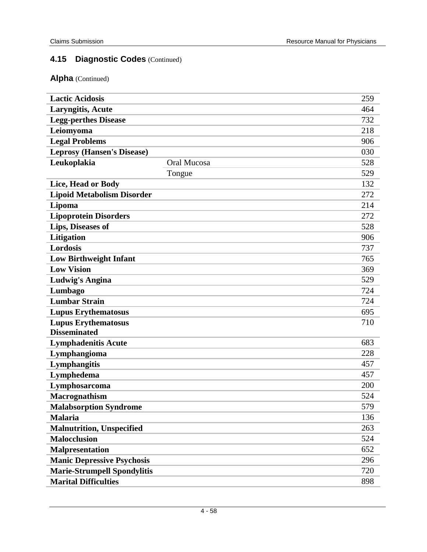| <b>Lactic Acidosis</b>             |             | 259 |
|------------------------------------|-------------|-----|
| <b>Laryngitis, Acute</b>           |             | 464 |
| <b>Legg-perthes Disease</b>        |             | 732 |
| Leiomyoma                          |             | 218 |
| <b>Legal Problems</b>              |             | 906 |
| <b>Leprosy (Hansen's Disease)</b>  |             | 030 |
| Leukoplakia                        | Oral Mucosa | 528 |
|                                    | Tongue      | 529 |
| Lice, Head or Body                 |             | 132 |
| <b>Lipoid Metabolism Disorder</b>  |             | 272 |
| Lipoma                             |             | 214 |
| <b>Lipoprotein Disorders</b>       |             | 272 |
| Lips, Diseases of                  |             | 528 |
| <b>Litigation</b>                  |             | 906 |
| Lordosis                           |             | 737 |
| <b>Low Birthweight Infant</b>      |             | 765 |
| <b>Low Vision</b>                  |             | 369 |
| Ludwig's Angina                    |             | 529 |
| Lumbago                            |             | 724 |
| <b>Lumbar Strain</b>               |             | 724 |
| <b>Lupus Erythematosus</b>         |             | 695 |
| <b>Lupus Erythematosus</b>         |             | 710 |
| <b>Disseminated</b>                |             |     |
| <b>Lymphadenitis Acute</b>         |             | 683 |
| Lymphangioma                       |             | 228 |
| Lymphangitis                       |             | 457 |
| Lymphedema                         |             | 457 |
| Lymphosarcoma                      |             | 200 |
| <b>Macrognathism</b>               |             | 524 |
| <b>Malabsorption Syndrome</b>      |             | 579 |
| <b>Malaria</b>                     |             | 136 |
| <b>Malnutrition, Unspecified</b>   |             | 263 |
| <b>Malocclusion</b>                |             | 524 |
| <b>Malpresentation</b>             |             | 652 |
| <b>Manic Depressive Psychosis</b>  |             | 296 |
| <b>Marie-Strumpell Spondylitis</b> |             | 720 |
| <b>Marital Difficulties</b>        |             | 898 |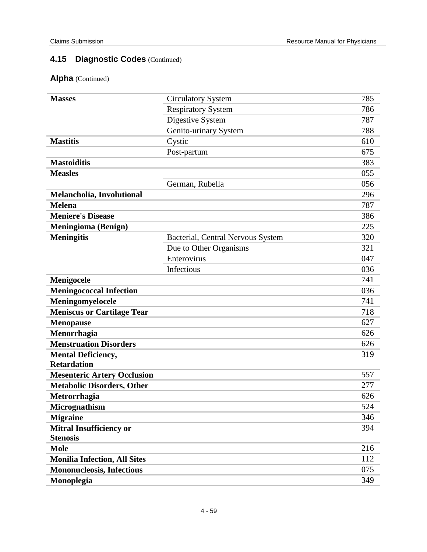| <b>Masses</b>                       | <b>Circulatory System</b>         | 785 |
|-------------------------------------|-----------------------------------|-----|
|                                     | <b>Respiratory System</b>         | 786 |
|                                     | Digestive System                  | 787 |
|                                     | Genito-urinary System             | 788 |
| <b>Mastitis</b>                     | Cystic                            | 610 |
|                                     | Post-partum                       | 675 |
| <b>Mastoiditis</b>                  |                                   | 383 |
| <b>Measles</b>                      |                                   | 055 |
|                                     | German, Rubella                   | 056 |
| Melancholia, Involutional           |                                   | 296 |
| <b>Melena</b>                       |                                   | 787 |
| <b>Meniere's Disease</b>            |                                   | 386 |
| <b>Meningioma</b> (Benign)          |                                   | 225 |
| <b>Meningitis</b>                   | Bacterial, Central Nervous System | 320 |
|                                     | Due to Other Organisms            | 321 |
|                                     | Enterovirus                       | 047 |
|                                     | Infectious                        | 036 |
| Menigocele                          |                                   | 741 |
| <b>Meningococcal Infection</b>      |                                   | 036 |
| Meningomyelocele                    |                                   | 741 |
| <b>Meniscus or Cartilage Tear</b>   |                                   | 718 |
| <b>Menopause</b>                    |                                   | 627 |
| Menorrhagia                         |                                   | 626 |
| <b>Menstruation Disorders</b>       |                                   | 626 |
| <b>Mental Deficiency,</b>           |                                   | 319 |
| <b>Retardation</b>                  |                                   |     |
| <b>Mesenteric Artery Occlusion</b>  |                                   | 557 |
| <b>Metabolic Disorders, Other</b>   |                                   | 277 |
| Metrorrhagia                        |                                   | 626 |
| Micrognathism                       |                                   | 524 |
| <b>Migraine</b>                     |                                   | 346 |
| Mitral Insufficiency or             |                                   | 394 |
| <b>Stenosis</b>                     |                                   |     |
| <b>Mole</b>                         |                                   | 216 |
| <b>Monilia Infection, All Sites</b> |                                   | 112 |
| <b>Mononucleosis, Infectious</b>    |                                   | 075 |
| Monoplegia                          |                                   | 349 |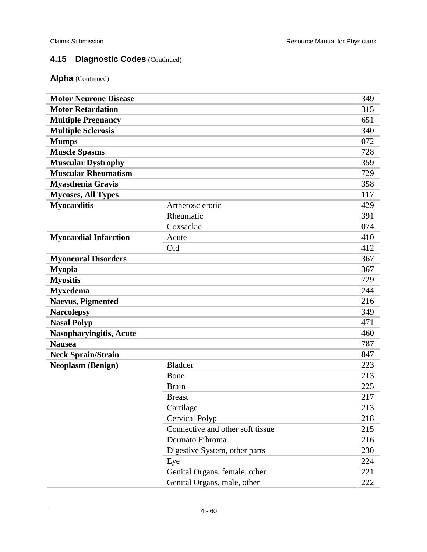| <b>Motor Neurone Disease</b>   |                                  | 349 |
|--------------------------------|----------------------------------|-----|
| <b>Motor Retardation</b>       |                                  | 315 |
| <b>Multiple Pregnancy</b>      |                                  | 651 |
| <b>Multiple Sclerosis</b>      |                                  | 340 |
| <b>Mumps</b>                   |                                  | 072 |
| <b>Muscle Spasms</b>           |                                  | 728 |
| <b>Muscular Dystrophy</b>      |                                  | 359 |
| <b>Muscular Rheumatism</b>     |                                  | 729 |
| <b>Myasthenia Gravis</b>       |                                  | 358 |
| <b>Mycoses, All Types</b>      |                                  | 117 |
| <b>Myocarditis</b>             | Artherosclerotic                 | 429 |
|                                | Rheumatic                        | 391 |
|                                | Coxsackie                        | 074 |
| <b>Myocardial Infarction</b>   | Acute                            | 410 |
|                                | Old                              | 412 |
| <b>Myoneural Disorders</b>     |                                  | 367 |
| <b>Myopia</b>                  |                                  | 367 |
| <b>Myositis</b>                |                                  | 729 |
| <b>Myxedema</b>                |                                  | 244 |
| <b>Naevus, Pigmented</b>       |                                  | 216 |
| <b>Narcolepsy</b>              |                                  | 349 |
| <b>Nasal Polyp</b>             |                                  | 471 |
| <b>Nasopharyingitis, Acute</b> |                                  | 460 |
| <b>Nausea</b>                  |                                  | 787 |
| <b>Neck Sprain/Strain</b>      |                                  | 847 |
| <b>Neoplasm (Benign)</b>       | <b>Bladder</b>                   | 223 |
|                                | Bone                             | 213 |
|                                | <b>Brain</b>                     | 225 |
|                                | <b>Breast</b>                    | 217 |
|                                | Cartilage                        | 213 |
|                                | <b>Cervical Polyp</b>            | 218 |
|                                | Connective and other soft tissue | 215 |
|                                | Dermato Fibroma                  | 216 |
|                                | Digestive System, other parts    | 230 |
|                                | Eye                              | 224 |
|                                | Genital Organs, female, other    | 221 |
|                                | Genital Organs, male, other      | 222 |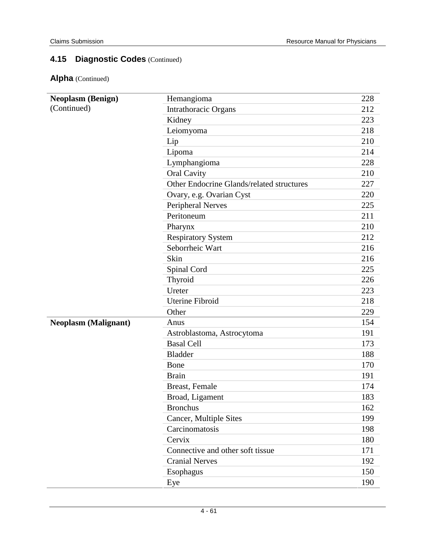| (Continued)<br>Intrathoracic Organs<br>212<br>Kidney<br>223<br>218<br>Leiomyoma<br>210<br>Lip<br>214<br>Lipoma<br>228<br>Lymphangioma<br><b>Oral Cavity</b><br>210<br>Other Endocrine Glands/related structures<br>227<br>Ovary, e.g. Ovarian Cyst<br>220<br><b>Peripheral Nerves</b><br>225<br>Peritoneum<br>211<br>210<br>Pharynx<br><b>Respiratory System</b><br>212<br>Seborrheic Wart<br>216<br>Skin<br>216<br>Spinal Cord<br>225<br>226<br>Thyroid<br>Ureter<br>223<br><b>Uterine Fibroid</b><br>218<br>Other<br>229<br>154<br><b>Neoplasm (Malignant)</b><br>Anus<br>Astroblastoma, Astrocytoma<br>191<br><b>Basal Cell</b><br>173<br><b>Bladder</b><br>188<br>170<br>Bone<br>191<br><b>Brain</b><br>Breast, Female<br>174<br>Broad, Ligament<br>183<br>162<br><b>Bronchus</b><br>199<br>Cancer, Multiple Sites<br>Carcinomatosis<br>198<br>Cervix<br>180<br>Connective and other soft tissue<br>171<br><b>Cranial Nerves</b><br>192<br>Esophagus<br>150 | <b>Neoplasm (Benign)</b> | Hemangioma | 228 |
|-----------------------------------------------------------------------------------------------------------------------------------------------------------------------------------------------------------------------------------------------------------------------------------------------------------------------------------------------------------------------------------------------------------------------------------------------------------------------------------------------------------------------------------------------------------------------------------------------------------------------------------------------------------------------------------------------------------------------------------------------------------------------------------------------------------------------------------------------------------------------------------------------------------------------------------------------------------------|--------------------------|------------|-----|
|                                                                                                                                                                                                                                                                                                                                                                                                                                                                                                                                                                                                                                                                                                                                                                                                                                                                                                                                                                 |                          |            |     |
|                                                                                                                                                                                                                                                                                                                                                                                                                                                                                                                                                                                                                                                                                                                                                                                                                                                                                                                                                                 |                          |            |     |
|                                                                                                                                                                                                                                                                                                                                                                                                                                                                                                                                                                                                                                                                                                                                                                                                                                                                                                                                                                 |                          |            |     |
|                                                                                                                                                                                                                                                                                                                                                                                                                                                                                                                                                                                                                                                                                                                                                                                                                                                                                                                                                                 |                          |            |     |
|                                                                                                                                                                                                                                                                                                                                                                                                                                                                                                                                                                                                                                                                                                                                                                                                                                                                                                                                                                 |                          |            |     |
|                                                                                                                                                                                                                                                                                                                                                                                                                                                                                                                                                                                                                                                                                                                                                                                                                                                                                                                                                                 |                          |            |     |
|                                                                                                                                                                                                                                                                                                                                                                                                                                                                                                                                                                                                                                                                                                                                                                                                                                                                                                                                                                 |                          |            |     |
|                                                                                                                                                                                                                                                                                                                                                                                                                                                                                                                                                                                                                                                                                                                                                                                                                                                                                                                                                                 |                          |            |     |
|                                                                                                                                                                                                                                                                                                                                                                                                                                                                                                                                                                                                                                                                                                                                                                                                                                                                                                                                                                 |                          |            |     |
|                                                                                                                                                                                                                                                                                                                                                                                                                                                                                                                                                                                                                                                                                                                                                                                                                                                                                                                                                                 |                          |            |     |
|                                                                                                                                                                                                                                                                                                                                                                                                                                                                                                                                                                                                                                                                                                                                                                                                                                                                                                                                                                 |                          |            |     |
|                                                                                                                                                                                                                                                                                                                                                                                                                                                                                                                                                                                                                                                                                                                                                                                                                                                                                                                                                                 |                          |            |     |
|                                                                                                                                                                                                                                                                                                                                                                                                                                                                                                                                                                                                                                                                                                                                                                                                                                                                                                                                                                 |                          |            |     |
|                                                                                                                                                                                                                                                                                                                                                                                                                                                                                                                                                                                                                                                                                                                                                                                                                                                                                                                                                                 |                          |            |     |
|                                                                                                                                                                                                                                                                                                                                                                                                                                                                                                                                                                                                                                                                                                                                                                                                                                                                                                                                                                 |                          |            |     |
|                                                                                                                                                                                                                                                                                                                                                                                                                                                                                                                                                                                                                                                                                                                                                                                                                                                                                                                                                                 |                          |            |     |
|                                                                                                                                                                                                                                                                                                                                                                                                                                                                                                                                                                                                                                                                                                                                                                                                                                                                                                                                                                 |                          |            |     |
|                                                                                                                                                                                                                                                                                                                                                                                                                                                                                                                                                                                                                                                                                                                                                                                                                                                                                                                                                                 |                          |            |     |
|                                                                                                                                                                                                                                                                                                                                                                                                                                                                                                                                                                                                                                                                                                                                                                                                                                                                                                                                                                 |                          |            |     |
|                                                                                                                                                                                                                                                                                                                                                                                                                                                                                                                                                                                                                                                                                                                                                                                                                                                                                                                                                                 |                          |            |     |
|                                                                                                                                                                                                                                                                                                                                                                                                                                                                                                                                                                                                                                                                                                                                                                                                                                                                                                                                                                 |                          |            |     |
|                                                                                                                                                                                                                                                                                                                                                                                                                                                                                                                                                                                                                                                                                                                                                                                                                                                                                                                                                                 |                          |            |     |
|                                                                                                                                                                                                                                                                                                                                                                                                                                                                                                                                                                                                                                                                                                                                                                                                                                                                                                                                                                 |                          |            |     |
|                                                                                                                                                                                                                                                                                                                                                                                                                                                                                                                                                                                                                                                                                                                                                                                                                                                                                                                                                                 |                          |            |     |
|                                                                                                                                                                                                                                                                                                                                                                                                                                                                                                                                                                                                                                                                                                                                                                                                                                                                                                                                                                 |                          |            |     |
|                                                                                                                                                                                                                                                                                                                                                                                                                                                                                                                                                                                                                                                                                                                                                                                                                                                                                                                                                                 |                          |            |     |
|                                                                                                                                                                                                                                                                                                                                                                                                                                                                                                                                                                                                                                                                                                                                                                                                                                                                                                                                                                 |                          |            |     |
|                                                                                                                                                                                                                                                                                                                                                                                                                                                                                                                                                                                                                                                                                                                                                                                                                                                                                                                                                                 |                          |            |     |
|                                                                                                                                                                                                                                                                                                                                                                                                                                                                                                                                                                                                                                                                                                                                                                                                                                                                                                                                                                 |                          |            |     |
|                                                                                                                                                                                                                                                                                                                                                                                                                                                                                                                                                                                                                                                                                                                                                                                                                                                                                                                                                                 |                          |            |     |
|                                                                                                                                                                                                                                                                                                                                                                                                                                                                                                                                                                                                                                                                                                                                                                                                                                                                                                                                                                 |                          |            |     |
|                                                                                                                                                                                                                                                                                                                                                                                                                                                                                                                                                                                                                                                                                                                                                                                                                                                                                                                                                                 |                          |            |     |
|                                                                                                                                                                                                                                                                                                                                                                                                                                                                                                                                                                                                                                                                                                                                                                                                                                                                                                                                                                 |                          |            |     |
|                                                                                                                                                                                                                                                                                                                                                                                                                                                                                                                                                                                                                                                                                                                                                                                                                                                                                                                                                                 |                          |            |     |
|                                                                                                                                                                                                                                                                                                                                                                                                                                                                                                                                                                                                                                                                                                                                                                                                                                                                                                                                                                 |                          |            |     |
|                                                                                                                                                                                                                                                                                                                                                                                                                                                                                                                                                                                                                                                                                                                                                                                                                                                                                                                                                                 |                          | Eye        | 190 |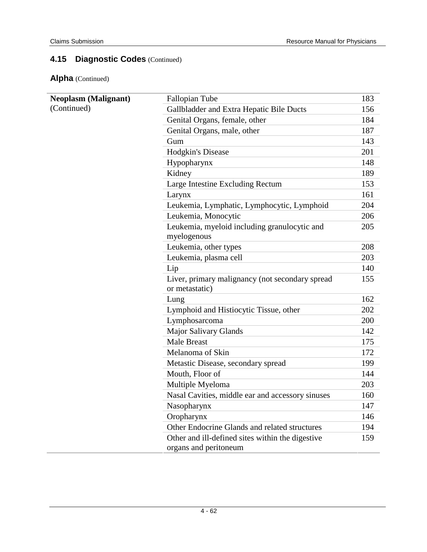| <b>Neoplasm (Malignant)</b> | Fallopian Tube                                   | 183 |
|-----------------------------|--------------------------------------------------|-----|
| (Continued)                 | Gallbladder and Extra Hepatic Bile Ducts         | 156 |
|                             | Genital Organs, female, other                    | 184 |
|                             | Genital Organs, male, other                      | 187 |
|                             | Gum                                              | 143 |
|                             | <b>Hodgkin's Disease</b>                         | 201 |
|                             | Hypopharynx                                      | 148 |
|                             | Kidney                                           | 189 |
|                             | Large Intestine Excluding Rectum                 | 153 |
|                             | Larynx                                           | 161 |
|                             | Leukemia, Lymphatic, Lymphocytic, Lymphoid       | 204 |
|                             | Leukemia, Monocytic                              | 206 |
|                             | Leukemia, myeloid including granulocytic and     | 205 |
|                             | myelogenous                                      |     |
|                             | Leukemia, other types                            | 208 |
|                             | Leukemia, plasma cell                            | 203 |
|                             | Lip                                              | 140 |
|                             | Liver, primary malignancy (not secondary spread  | 155 |
|                             | or metastatic)                                   |     |
|                             | Lung                                             | 162 |
|                             | Lymphoid and Histiocytic Tissue, other           | 202 |
|                             | Lymphosarcoma                                    | 200 |
|                             | <b>Major Salivary Glands</b>                     | 142 |
|                             | <b>Male Breast</b>                               | 175 |
|                             | Melanoma of Skin                                 | 172 |
|                             | Metastic Disease, secondary spread               | 199 |
|                             | Mouth, Floor of                                  | 144 |
|                             | Multiple Myeloma                                 | 203 |
|                             | Nasal Cavities, middle ear and accessory sinuses | 160 |
|                             | Nasopharynx                                      | 147 |
|                             | Oropharynx                                       | 146 |
|                             | Other Endocrine Glands and related structures    | 194 |
|                             | Other and ill-defined sites within the digestive | 159 |
|                             | organs and peritoneum                            |     |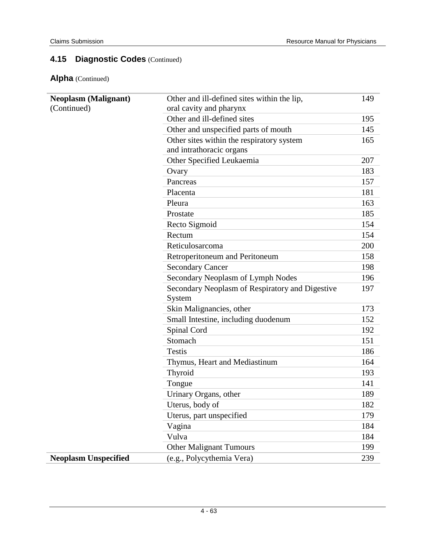| <b>Neoplasm (Malignant)</b> | Other and ill-defined sites within the lip,     | 149 |
|-----------------------------|-------------------------------------------------|-----|
| (Continued)                 | oral cavity and pharynx                         |     |
|                             | Other and ill-defined sites                     | 195 |
|                             | Other and unspecified parts of mouth            | 145 |
|                             | Other sites within the respiratory system       | 165 |
|                             | and intrathoracic organs                        |     |
|                             | Other Specified Leukaemia                       | 207 |
|                             | Ovary                                           | 183 |
|                             | Pancreas                                        | 157 |
|                             | Placenta                                        | 181 |
|                             | Pleura                                          | 163 |
|                             | Prostate                                        | 185 |
|                             | Recto Sigmoid                                   | 154 |
|                             | Rectum                                          | 154 |
|                             | Reticulosarcoma                                 | 200 |
|                             | Retroperitoneum and Peritoneum                  | 158 |
|                             | <b>Secondary Cancer</b>                         | 198 |
|                             | Secondary Neoplasm of Lymph Nodes               | 196 |
|                             | Secondary Neoplasm of Respiratory and Digestive | 197 |
|                             | System                                          |     |
|                             | Skin Malignancies, other                        | 173 |
|                             | Small Intestine, including duodenum             | 152 |
|                             | Spinal Cord                                     | 192 |
|                             | Stomach                                         | 151 |
|                             | <b>Testis</b>                                   | 186 |
|                             | Thymus, Heart and Mediastinum                   | 164 |
|                             | Thyroid                                         | 193 |
|                             | Tongue                                          | 141 |
|                             | Urinary Organs, other                           | 189 |
|                             | Uterus, body of                                 | 182 |
|                             | Uterus, part unspecified                        | 179 |
|                             | Vagina                                          | 184 |
|                             | Vulva                                           | 184 |
|                             | <b>Other Malignant Tumours</b>                  | 199 |
| <b>Neoplasm Unspecified</b> | (e.g., Polycythemia Vera)                       | 239 |
|                             |                                                 |     |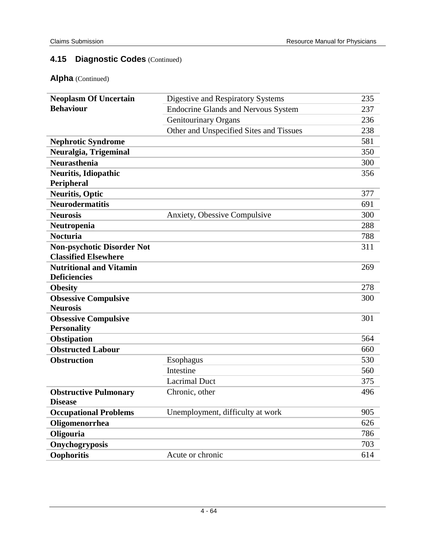| <b>Neoplasm Of Uncertain</b>      | Digestive and Respiratory Systems          | 235 |
|-----------------------------------|--------------------------------------------|-----|
| <b>Behaviour</b>                  | <b>Endocrine Glands and Nervous System</b> | 237 |
|                                   | <b>Genitourinary Organs</b>                | 236 |
|                                   | Other and Unspecified Sites and Tissues    | 238 |
| <b>Nephrotic Syndrome</b>         |                                            | 581 |
| Neuralgia, Trigeminal             |                                            | 350 |
| <b>Neurasthenia</b>               |                                            | 300 |
| <b>Neuritis, Idiopathic</b>       |                                            | 356 |
| Peripheral                        |                                            |     |
| <b>Neuritis, Optic</b>            |                                            | 377 |
| <b>Neurodermatitis</b>            |                                            | 691 |
| <b>Neurosis</b>                   | Anxiety, Obessive Compulsive               | 300 |
| Neutropenia                       |                                            | 288 |
| <b>Nocturia</b>                   |                                            | 788 |
| <b>Non-psychotic Disorder Not</b> |                                            | 311 |
| <b>Classified Elsewhere</b>       |                                            |     |
| <b>Nutritional and Vitamin</b>    |                                            | 269 |
| <b>Deficiencies</b>               |                                            |     |
| <b>Obesity</b>                    |                                            | 278 |
| <b>Obsessive Compulsive</b>       |                                            | 300 |
| <b>Neurosis</b>                   |                                            |     |
| <b>Obsessive Compulsive</b>       |                                            | 301 |
| <b>Personality</b>                |                                            |     |
| Obstipation                       |                                            | 564 |
| <b>Obstructed Labour</b>          |                                            | 660 |
| <b>Obstruction</b>                | Esophagus                                  | 530 |
|                                   | Intestine                                  | 560 |
|                                   | <b>Lacrimal Duct</b>                       | 375 |
| <b>Obstructive Pulmonary</b>      | Chronic, other                             | 496 |
| <b>Disease</b>                    |                                            |     |
| <b>Occupational Problems</b>      | Unemployment, difficulty at work           | 905 |
| Oligomenorrhea                    |                                            | 626 |
| Oligouria                         |                                            | 786 |
| Onychogryposis                    |                                            | 703 |
| Oophoritis                        | Acute or chronic                           | 614 |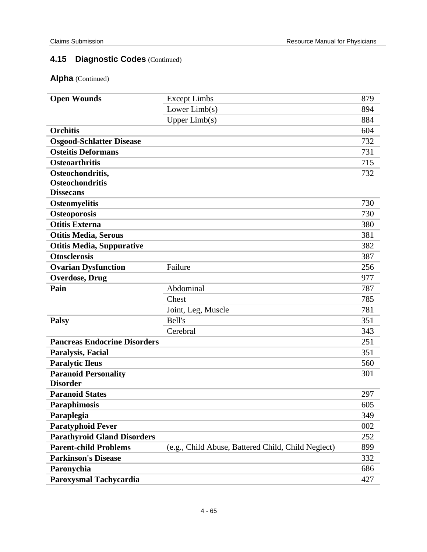| <b>Open Wounds</b>                  | <b>Except Limbs</b>                                | 879 |
|-------------------------------------|----------------------------------------------------|-----|
|                                     | Lower $Limb(s)$                                    | 894 |
|                                     | Upper Limb(s)                                      | 884 |
| <b>Orchitis</b>                     |                                                    | 604 |
| <b>Osgood-Schlatter Disease</b>     |                                                    | 732 |
| <b>Osteitis Deformans</b>           |                                                    | 731 |
| <b>Osteoarthritis</b>               |                                                    | 715 |
| Osteochondritis,                    |                                                    | 732 |
| <b>Osteochondritis</b>              |                                                    |     |
| <b>Dissecans</b>                    |                                                    |     |
| <b>Osteomyelitis</b>                |                                                    | 730 |
| <b>Osteoporosis</b>                 |                                                    | 730 |
| <b>Otitis Externa</b>               |                                                    | 380 |
| <b>Otitis Media, Serous</b>         |                                                    | 381 |
| <b>Otitis Media, Suppurative</b>    |                                                    | 382 |
| <b>Otosclerosis</b>                 |                                                    | 387 |
| <b>Ovarian Dysfunction</b>          | Failure                                            | 256 |
| <b>Overdose, Drug</b>               |                                                    | 977 |
| Pain                                | Abdominal                                          | 787 |
|                                     | Chest                                              | 785 |
|                                     | Joint, Leg, Muscle                                 | 781 |
| <b>Palsy</b>                        | Bell's                                             | 351 |
|                                     | Cerebral                                           | 343 |
| <b>Pancreas Endocrine Disorders</b> |                                                    | 251 |
| Paralysis, Facial                   |                                                    | 351 |
| <b>Paralytic Ileus</b>              |                                                    | 560 |
| <b>Paranoid Personality</b>         |                                                    | 301 |
| <b>Disorder</b>                     |                                                    |     |
| <b>Paranoid States</b>              |                                                    | 297 |
| <b>Paraphimosis</b>                 |                                                    | 605 |
| Paraplegia                          |                                                    | 349 |
| <b>Paratyphoid Fever</b>            |                                                    | 002 |
| <b>Parathyroid Gland Disorders</b>  |                                                    | 252 |
| <b>Parent-child Problems</b>        | (e.g., Child Abuse, Battered Child, Child Neglect) | 899 |
| <b>Parkinson's Disease</b>          |                                                    | 332 |
| Paronychia                          |                                                    | 686 |
| Paroxysmal Tachycardia              |                                                    | 427 |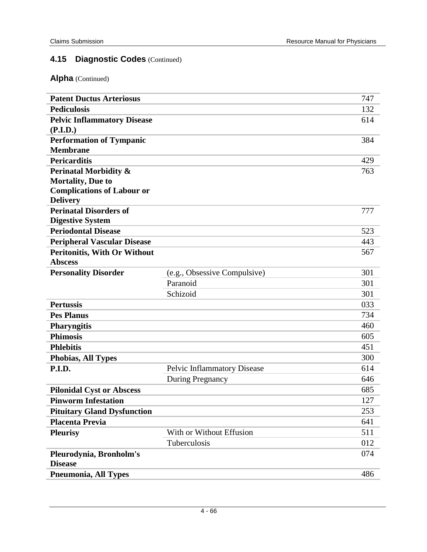| <b>Patent Ductus Arteriosus</b>                       |                                    | 747 |
|-------------------------------------------------------|------------------------------------|-----|
| <b>Pediculosis</b>                                    |                                    | 132 |
| <b>Pelvic Inflammatory Disease</b>                    |                                    | 614 |
| (P.I.D.)                                              |                                    |     |
| <b>Performation of Tympanic</b>                       |                                    | 384 |
| <b>Membrane</b>                                       |                                    |     |
| <b>Pericarditis</b>                                   |                                    | 429 |
| <b>Perinatal Morbidity &amp;</b>                      |                                    | 763 |
| <b>Mortality, Due to</b>                              |                                    |     |
| <b>Complications of Labour or</b>                     |                                    |     |
| <b>Delivery</b>                                       |                                    |     |
| <b>Perinatal Disorders of</b>                         |                                    | 777 |
| <b>Digestive System</b>                               |                                    | 523 |
| <b>Periodontal Disease</b>                            |                                    | 443 |
| <b>Peripheral Vascular Disease</b>                    |                                    |     |
| <b>Peritonitis, With Or Without</b><br><b>Abscess</b> |                                    | 567 |
| <b>Personality Disorder</b>                           | (e.g., Obsessive Compulsive)       | 301 |
|                                                       | Paranoid                           | 301 |
|                                                       | Schizoid                           | 301 |
| <b>Pertussis</b>                                      |                                    | 033 |
| <b>Pes Planus</b>                                     |                                    | 734 |
|                                                       |                                    | 460 |
| <b>Pharyngitis</b><br><b>Phimosis</b>                 |                                    |     |
|                                                       |                                    | 605 |
| <b>Phlebitis</b>                                      |                                    | 451 |
| <b>Phobias, All Types</b>                             |                                    | 300 |
| P.I.D.                                                | <b>Pelvic Inflammatory Disease</b> | 614 |
|                                                       | <b>During Pregnancy</b>            | 646 |
| <b>Pilonidal Cyst or Abscess</b>                      |                                    | 685 |
| <b>Pinworm Infestation</b>                            |                                    | 127 |
| <b>Pituitary Gland Dysfunction</b>                    |                                    | 253 |
| <b>Placenta Previa</b>                                |                                    | 641 |
| <b>Pleurisy</b>                                       | With or Without Effusion           | 511 |
|                                                       | Tuberculosis                       | 012 |
| Pleurodynia, Bronholm's                               |                                    | 074 |
| <b>Disease</b>                                        |                                    |     |
| <b>Pneumonia, All Types</b>                           |                                    | 486 |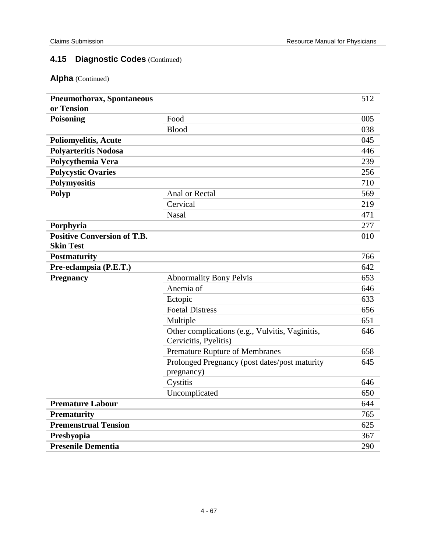| <b>Pneumothorax, Spontaneous</b>                       |                                                                          | 512 |
|--------------------------------------------------------|--------------------------------------------------------------------------|-----|
| or Tension                                             |                                                                          |     |
| Poisoning                                              | Food                                                                     | 005 |
|                                                        | <b>Blood</b>                                                             | 038 |
| <b>Poliomyelitis, Acute</b>                            |                                                                          | 045 |
| <b>Polyarteritis Nodosa</b>                            |                                                                          | 446 |
| Polycythemia Vera                                      |                                                                          | 239 |
| <b>Polycystic Ovaries</b>                              |                                                                          | 256 |
| Polymyositis                                           |                                                                          | 710 |
| Polyp                                                  | Anal or Rectal                                                           | 569 |
|                                                        | Cervical                                                                 | 219 |
|                                                        | <b>Nasal</b>                                                             | 471 |
| Porphyria                                              |                                                                          | 277 |
| <b>Positive Conversion of T.B.</b><br><b>Skin Test</b> |                                                                          | 010 |
| <b>Postmaturity</b>                                    |                                                                          | 766 |
| Pre-eclampsia (P.E.T.)                                 |                                                                          | 642 |
| <b>Pregnancy</b>                                       | <b>Abnormality Bony Pelvis</b>                                           | 653 |
|                                                        | Anemia of                                                                | 646 |
|                                                        | Ectopic                                                                  | 633 |
|                                                        | <b>Foetal Distress</b>                                                   | 656 |
|                                                        | Multiple                                                                 | 651 |
|                                                        | Other complications (e.g., Vulvitis, Vaginitis,<br>Cervicitis, Pyelitis) | 646 |
|                                                        | Premature Rupture of Membranes                                           | 658 |
|                                                        | Prolonged Pregnancy (post dates/post maturity<br>pregnancy)              | 645 |
|                                                        | Cystitis                                                                 | 646 |
|                                                        | Uncomplicated                                                            | 650 |
| <b>Premature Labour</b>                                |                                                                          | 644 |
| <b>Prematurity</b>                                     |                                                                          | 765 |
| <b>Premenstrual Tension</b>                            |                                                                          | 625 |
| Presbyopia                                             |                                                                          | 367 |
| <b>Presenile Dementia</b>                              |                                                                          | 290 |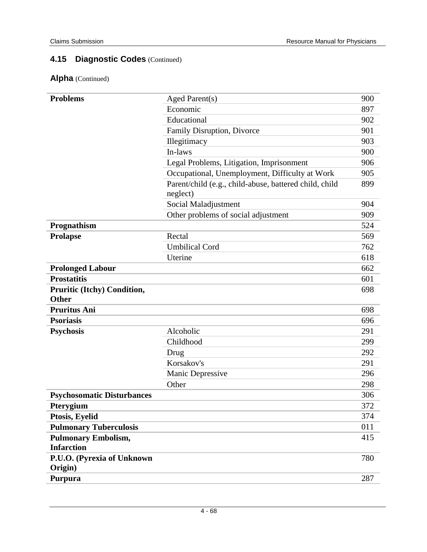| <b>Problems</b>                             | Aged Parent(s)                                         | 900 |
|---------------------------------------------|--------------------------------------------------------|-----|
|                                             | Economic                                               | 897 |
|                                             | Educational                                            | 902 |
|                                             | Family Disruption, Divorce                             | 901 |
|                                             | Illegitimacy                                           | 903 |
|                                             | In-laws                                                | 900 |
|                                             | Legal Problems, Litigation, Imprisonment               | 906 |
|                                             | Occupational, Unemployment, Difficulty at Work         | 905 |
|                                             | Parent/child (e.g., child-abuse, battered child, child | 899 |
|                                             | neglect)                                               |     |
|                                             | Social Maladjustment                                   | 904 |
|                                             | Other problems of social adjustment                    | 909 |
| Prognathism                                 |                                                        | 524 |
| <b>Prolapse</b>                             | Rectal                                                 | 569 |
|                                             | <b>Umbilical Cord</b>                                  | 762 |
|                                             | Uterine                                                | 618 |
| <b>Prolonged Labour</b>                     |                                                        | 662 |
| <b>Prostatitis</b>                          |                                                        | 601 |
| <b>Pruritic (Itchy) Condition,</b><br>Other |                                                        | 698 |
| <b>Pruritus Ani</b>                         |                                                        | 698 |
| <b>Psoriasis</b>                            |                                                        | 696 |
| <b>Psychosis</b>                            | Alcoholic                                              | 291 |
|                                             | Childhood                                              | 299 |
|                                             | Drug                                                   | 292 |
|                                             | Korsakov's                                             | 291 |
|                                             | Manic Depressive                                       | 296 |
|                                             | Other                                                  | 298 |
| <b>Psychosomatic Disturbances</b>           |                                                        | 306 |
| Pterygium                                   |                                                        | 372 |
| Ptosis, Eyelid                              |                                                        | 374 |
| <b>Pulmonary Tuberculosis</b>               |                                                        | 011 |
| <b>Pulmonary Embolism,</b>                  |                                                        | 415 |
| <b>Infarction</b>                           |                                                        |     |
| P.U.O. (Pyrexia of Unknown                  |                                                        | 780 |
| Origin)                                     |                                                        |     |
| Purpura                                     |                                                        | 287 |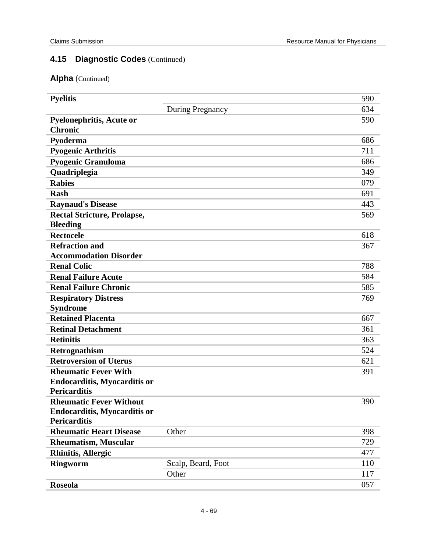| <b>Pyelitis</b>                                   |                    | 590 |
|---------------------------------------------------|--------------------|-----|
|                                                   | During Pregnancy   | 634 |
| <b>Pyelonephritis, Acute or</b><br><b>Chronic</b> |                    | 590 |
| Pyoderma                                          |                    | 686 |
| <b>Pyogenic Arthritis</b>                         |                    | 711 |
| Pyogenic Granuloma                                |                    | 686 |
| Quadriplegia                                      |                    | 349 |
| <b>Rabies</b>                                     |                    | 079 |
| <b>Rash</b>                                       |                    | 691 |
| <b>Raynaud's Disease</b>                          |                    | 443 |
| <b>Rectal Stricture, Prolapse,</b>                |                    | 569 |
| <b>Bleeding</b>                                   |                    |     |
| <b>Rectocele</b>                                  |                    | 618 |
| <b>Refraction and</b>                             |                    | 367 |
| <b>Accommodation Disorder</b>                     |                    |     |
| <b>Renal Colic</b>                                |                    | 788 |
| <b>Renal Failure Acute</b>                        |                    | 584 |
| <b>Renal Failure Chronic</b>                      |                    | 585 |
| <b>Respiratory Distress</b>                       |                    | 769 |
| <b>Syndrome</b>                                   |                    |     |
| <b>Retained Placenta</b>                          |                    | 667 |
| <b>Retinal Detachment</b>                         |                    | 361 |
| <b>Retinitis</b>                                  |                    | 363 |
| Retrognathism                                     |                    | 524 |
| <b>Retroversion of Uterus</b>                     |                    | 621 |
| <b>Rheumatic Fever With</b>                       |                    | 391 |
| <b>Endocarditis, Myocarditis or</b>               |                    |     |
| <b>Pericarditis</b>                               |                    |     |
| <b>Rheumatic Fever Without</b>                    |                    | 390 |
| <b>Endocarditis, Myocarditis or</b>               |                    |     |
| <b>Pericarditis</b>                               |                    |     |
| <b>Rheumatic Heart Disease</b>                    | Other              | 398 |
| <b>Rheumatism, Muscular</b>                       |                    | 729 |
| <b>Rhinitis, Allergic</b>                         |                    | 477 |
| <b>Ringworm</b>                                   | Scalp, Beard, Foot | 110 |
|                                                   | Other              | 117 |
| <b>Roseola</b>                                    |                    | 057 |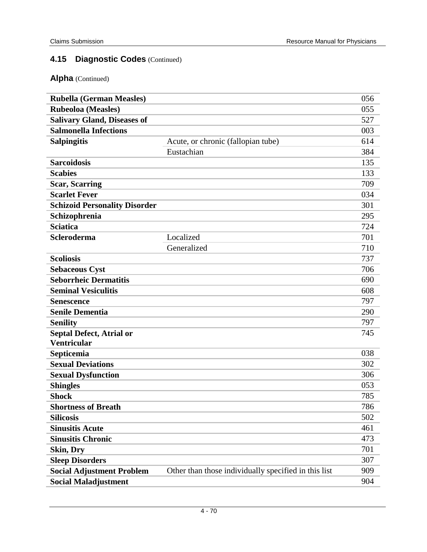| <b>Rubella (German Measles)</b>      |                                                      | 056 |
|--------------------------------------|------------------------------------------------------|-----|
| <b>Rubeoloa</b> (Measles)            |                                                      | 055 |
| <b>Salivary Gland, Diseases of</b>   |                                                      | 527 |
| <b>Salmonella Infections</b>         |                                                      | 003 |
| <b>Salpingitis</b>                   | Acute, or chronic (fallopian tube)                   | 614 |
|                                      | Eustachian                                           | 384 |
| <b>Sarcoidosis</b>                   |                                                      | 135 |
| <b>Scabies</b>                       |                                                      | 133 |
| <b>Scar, Scarring</b>                |                                                      | 709 |
| <b>Scarlet Fever</b>                 |                                                      | 034 |
| <b>Schizoid Personality Disorder</b> |                                                      | 301 |
| Schizophrenia                        |                                                      | 295 |
| <b>Sciatica</b>                      |                                                      | 724 |
| <b>Scleroderma</b>                   | Localized                                            | 701 |
|                                      | Generalized                                          | 710 |
| <b>Scoliosis</b>                     |                                                      | 737 |
| <b>Sebaceous Cyst</b>                |                                                      | 706 |
| <b>Seborrheic Dermatitis</b>         |                                                      | 690 |
| <b>Seminal Vesiculitis</b>           |                                                      | 608 |
| <b>Senescence</b>                    |                                                      | 797 |
| <b>Senile Dementia</b>               |                                                      | 290 |
| <b>Senility</b>                      |                                                      | 797 |
| <b>Septal Defect, Atrial or</b>      |                                                      | 745 |
| <b>Ventricular</b>                   |                                                      |     |
| Septicemia                           |                                                      | 038 |
| <b>Sexual Deviations</b>             |                                                      | 302 |
| <b>Sexual Dysfunction</b>            |                                                      | 306 |
| <b>Shingles</b>                      |                                                      | 053 |
| <b>Shock</b>                         |                                                      | 785 |
| <b>Shortness of Breath</b>           |                                                      | 786 |
| <b>Silicosis</b>                     |                                                      | 502 |
| <b>Sinusitis Acute</b>               |                                                      | 461 |
| <b>Sinusitis Chronic</b>             |                                                      | 473 |
| <b>Skin, Dry</b>                     |                                                      | 701 |
| <b>Sleep Disorders</b>               |                                                      | 307 |
| <b>Social Adjustment Problem</b>     | Other than those individually specified in this list | 909 |
| <b>Social Maladjustment</b>          |                                                      | 904 |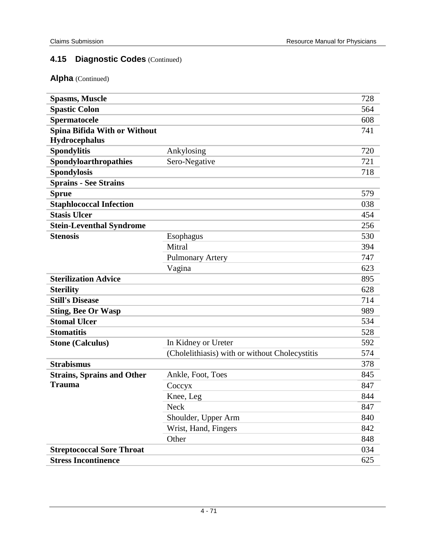| <b>Spasms, Muscle</b>             |                                                | 728 |
|-----------------------------------|------------------------------------------------|-----|
| <b>Spastic Colon</b>              |                                                | 564 |
| Spermatocele                      |                                                | 608 |
| Spina Bifida With or Without      |                                                | 741 |
| <b>Hydrocephalus</b>              |                                                |     |
| <b>Spondylitis</b>                | Ankylosing                                     | 720 |
| Spondyloarthropathies             | Sero-Negative                                  | 721 |
| <b>Spondylosis</b>                |                                                | 718 |
| <b>Sprains - See Strains</b>      |                                                |     |
| <b>Sprue</b>                      |                                                | 579 |
| <b>Staphlococcal Infection</b>    |                                                | 038 |
| <b>Stasis Ulcer</b>               |                                                | 454 |
| <b>Stein-Leventhal Syndrome</b>   |                                                | 256 |
| <b>Stenosis</b>                   | Esophagus                                      | 530 |
|                                   | Mitral                                         | 394 |
|                                   | <b>Pulmonary Artery</b>                        | 747 |
|                                   | Vagina                                         | 623 |
| <b>Sterilization Advice</b>       |                                                | 895 |
| <b>Sterility</b>                  |                                                | 628 |
| <b>Still's Disease</b>            |                                                | 714 |
| <b>Sting, Bee Or Wasp</b>         |                                                | 989 |
| <b>Stomal Ulcer</b>               |                                                | 534 |
| <b>Stomatitis</b>                 |                                                | 528 |
| <b>Stone (Calculus)</b>           | In Kidney or Ureter                            | 592 |
|                                   | (Cholelithiasis) with or without Cholecystitis | 574 |
| <b>Strabismus</b>                 |                                                | 378 |
| <b>Strains, Sprains and Other</b> | Ankle, Foot, Toes                              | 845 |
| <b>Trauma</b>                     | Coccyx                                         | 847 |
|                                   | Knee, Leg                                      | 844 |
|                                   | Neck                                           | 847 |
|                                   | Shoulder, Upper Arm                            | 840 |
|                                   | Wrist, Hand, Fingers                           | 842 |
|                                   | Other                                          | 848 |
| <b>Streptococcal Sore Throat</b>  |                                                | 034 |
| <b>Stress Incontinence</b>        |                                                | 625 |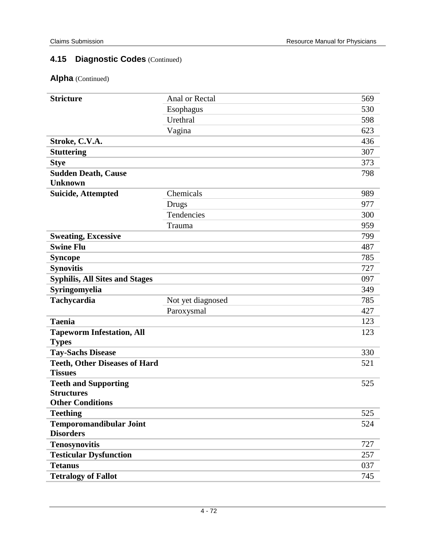| <b>Stricture</b>                                   | Anal or Rectal    | 569 |
|----------------------------------------------------|-------------------|-----|
|                                                    | Esophagus         | 530 |
|                                                    | Urethral          | 598 |
|                                                    | Vagina            | 623 |
| Stroke, C.V.A.                                     |                   | 436 |
| <b>Stuttering</b>                                  |                   | 307 |
| <b>Stye</b>                                        |                   | 373 |
| <b>Sudden Death, Cause</b>                         |                   | 798 |
| <b>Unknown</b>                                     |                   |     |
| <b>Suicide, Attempted</b>                          | Chemicals         | 989 |
|                                                    | Drugs             | 977 |
|                                                    | Tendencies        | 300 |
|                                                    | Trauma            | 959 |
| <b>Sweating, Excessive</b>                         |                   | 799 |
| <b>Swine Flu</b>                                   |                   | 487 |
| <b>Syncope</b>                                     |                   | 785 |
| <b>Synovitis</b>                                   |                   | 727 |
| <b>Syphilis, All Sites and Stages</b>              |                   | 097 |
| Syringomyelia                                      |                   | 349 |
| Tachycardia                                        | Not yet diagnosed | 785 |
|                                                    | Paroxysmal        | 427 |
| <b>Taenia</b>                                      |                   | 123 |
| <b>Tapeworm Infestation, All</b>                   |                   | 123 |
| <b>Types</b>                                       |                   |     |
| <b>Tay-Sachs Disease</b>                           |                   | 330 |
| <b>Teeth, Other Diseases of Hard</b>               |                   | 521 |
| <b>Tissues</b>                                     |                   |     |
| <b>Teeth and Supporting</b>                        |                   | 525 |
| <b>Structures</b>                                  |                   |     |
| <b>Other Conditions</b>                            |                   |     |
| <b>Teething</b>                                    |                   | 525 |
| <b>Temporomandibular Joint</b><br><b>Disorders</b> |                   | 524 |
| <b>Tenosynovitis</b>                               |                   | 727 |
| <b>Testicular Dysfunction</b>                      |                   | 257 |
| <b>Tetanus</b>                                     |                   | 037 |
| <b>Tetralogy of Fallot</b>                         |                   | 745 |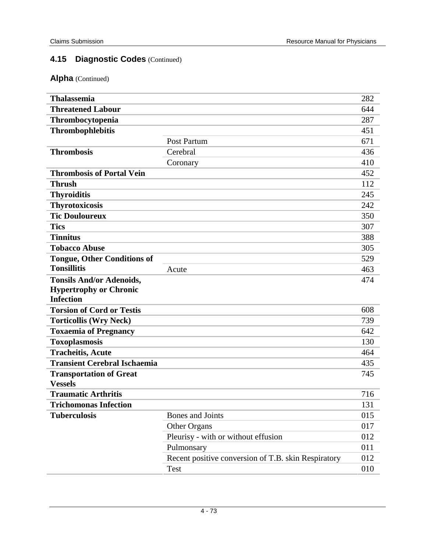| <b>Thalassemia</b>                               |                                                     | 282 |
|--------------------------------------------------|-----------------------------------------------------|-----|
| <b>Threatened Labour</b>                         |                                                     | 644 |
| Thrombocytopenia                                 |                                                     | 287 |
| <b>Thrombophlebitis</b>                          |                                                     | 451 |
|                                                  | Post Partum                                         | 671 |
| <b>Thrombosis</b>                                | Cerebral                                            | 436 |
|                                                  | Coronary                                            | 410 |
| <b>Thrombosis of Portal Vein</b>                 |                                                     | 452 |
| <b>Thrush</b>                                    |                                                     | 112 |
| <b>Thyroiditis</b>                               |                                                     | 245 |
| <b>Thyrotoxicosis</b>                            |                                                     | 242 |
| <b>Tic Douloureux</b>                            |                                                     | 350 |
| <b>Tics</b>                                      |                                                     | 307 |
| <b>Tinnitus</b>                                  |                                                     | 388 |
| <b>Tobacco Abuse</b>                             |                                                     | 305 |
| <b>Tongue, Other Conditions of</b>               |                                                     | 529 |
| <b>Tonsillitis</b>                               | Acute                                               | 463 |
| <b>Tonsils And/or Adenoids,</b>                  |                                                     | 474 |
| <b>Hypertrophy or Chronic</b>                    |                                                     |     |
| <b>Infection</b>                                 |                                                     |     |
| <b>Torsion of Cord or Testis</b>                 |                                                     | 608 |
| <b>Torticollis (Wry Neck)</b>                    |                                                     | 739 |
| <b>Toxaemia of Pregnancy</b>                     |                                                     | 642 |
| Toxoplasmosis                                    |                                                     | 130 |
| <b>Tracheitis, Acute</b>                         |                                                     | 464 |
| <b>Transient Cerebral Ischaemia</b>              |                                                     | 435 |
| <b>Transportation of Great</b><br><b>Vessels</b> |                                                     | 745 |
| <b>Traumatic Arthritis</b>                       |                                                     | 716 |
| <b>Trichomonas Infection</b>                     |                                                     | 131 |
| <b>Tuberculosis</b>                              | Bones and Joints                                    | 015 |
|                                                  | Other Organs                                        | 017 |
|                                                  | Pleurisy - with or without effusion                 | 012 |
|                                                  | Pulmonsary                                          | 011 |
|                                                  | Recent positive conversion of T.B. skin Respiratory | 012 |
|                                                  | Test                                                | 010 |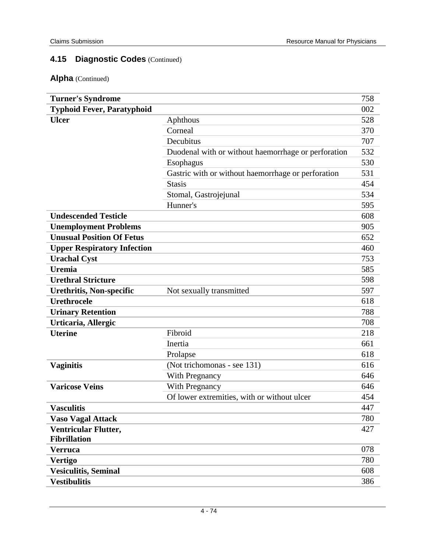| <b>Turner's Syndrome</b>           |                                                     | 758 |
|------------------------------------|-----------------------------------------------------|-----|
| <b>Typhoid Fever, Paratyphoid</b>  |                                                     | 002 |
| <b>Ulcer</b>                       | Aphthous                                            | 528 |
|                                    | Corneal                                             | 370 |
|                                    | Decubitus                                           | 707 |
|                                    | Duodenal with or without haemorrhage or perforation | 532 |
|                                    | <b>Esophagus</b>                                    | 530 |
|                                    | Gastric with or without haemorrhage or perforation  | 531 |
|                                    | <b>Stasis</b>                                       | 454 |
|                                    | Stomal, Gastrojejunal                               | 534 |
|                                    | Hunner's                                            | 595 |
| <b>Undescended Testicle</b>        |                                                     | 608 |
| <b>Unemployment Problems</b>       |                                                     | 905 |
| <b>Unusual Position Of Fetus</b>   |                                                     | 652 |
| <b>Upper Respiratory Infection</b> |                                                     | 460 |
| <b>Urachal Cyst</b>                |                                                     | 753 |
| <b>Uremia</b>                      |                                                     | 585 |
| <b>Urethral Stricture</b>          |                                                     | 598 |
| <b>Urethritis, Non-specific</b>    | Not sexually transmitted                            | 597 |
| <b>Urethrocele</b>                 |                                                     | 618 |
| <b>Urinary Retention</b>           |                                                     | 788 |
| Urticaria, Allergic                |                                                     | 708 |
| <b>Uterine</b>                     | Fibroid                                             | 218 |
|                                    | Inertia                                             | 661 |
|                                    | Prolapse                                            | 618 |
| <b>Vaginitis</b>                   | (Not trichomonas - see 131)                         | 616 |
|                                    | With Pregnancy                                      | 646 |
| <b>Varicose Veins</b>              | <b>With Pregnancy</b>                               | 646 |
|                                    | Of lower extremities, with or without ulcer         | 454 |
| <b>Vasculitis</b>                  |                                                     | 447 |
| <b>Vaso Vagal Attack</b>           |                                                     | 780 |
| Ventricular Flutter,               |                                                     | 427 |
| <b>Fibrillation</b>                |                                                     |     |
| <b>Verruca</b>                     |                                                     | 078 |
| <b>Vertigo</b>                     |                                                     | 780 |
| <b>Vesiculitis, Seminal</b>        |                                                     | 608 |
| <b>Vestibulitis</b>                |                                                     | 386 |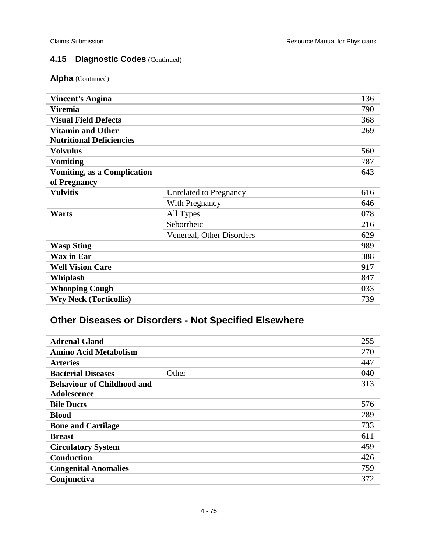#### **Alpha** (Continued)

| <b>Vincent's Angina</b>            |                           | 136 |
|------------------------------------|---------------------------|-----|
| <b>Viremia</b>                     |                           | 790 |
| <b>Visual Field Defects</b>        |                           | 368 |
| <b>Vitamin and Other</b>           |                           | 269 |
| <b>Nutritional Deficiencies</b>    |                           |     |
| <b>Volvulus</b>                    |                           | 560 |
| <b>Vomiting</b>                    |                           | 787 |
| <b>Vomiting, as a Complication</b> |                           | 643 |
| of Pregnancy                       |                           |     |
| <b>Vulvitis</b>                    | Unrelated to Pregnancy    | 616 |
|                                    | <b>With Pregnancy</b>     | 646 |
| Warts                              | All Types                 | 078 |
|                                    | Seborrheic                | 216 |
|                                    | Venereal, Other Disorders | 629 |
| <b>Wasp Sting</b>                  |                           | 989 |
| <b>Wax in Ear</b>                  |                           | 388 |
| <b>Well Vision Care</b>            |                           | 917 |
| Whiplash                           |                           | 847 |
| <b>Whooping Cough</b>              |                           | 033 |
| <b>Wry Neck (Torticollis)</b>      |                           | 739 |

# **Other Diseases or Disorders - Not Specified Elsewhere**

| <b>Adrenal Gland</b>               | 255 |
|------------------------------------|-----|
| <b>Amino Acid Metabolism</b>       | 270 |
| <b>Arteries</b>                    | 447 |
| <b>Bacterial Diseases</b><br>Other | 040 |
| <b>Behaviour of Childhood and</b>  | 313 |
| Adolescence                        |     |
| <b>Bile Ducts</b>                  | 576 |
| <b>Blood</b>                       | 289 |
| <b>Bone and Cartilage</b>          | 733 |
| <b>Breast</b>                      | 611 |
| <b>Circulatory System</b>          | 459 |
| <b>Conduction</b>                  | 426 |
| <b>Congenital Anomalies</b>        | 759 |
| Conjunctiva                        | 372 |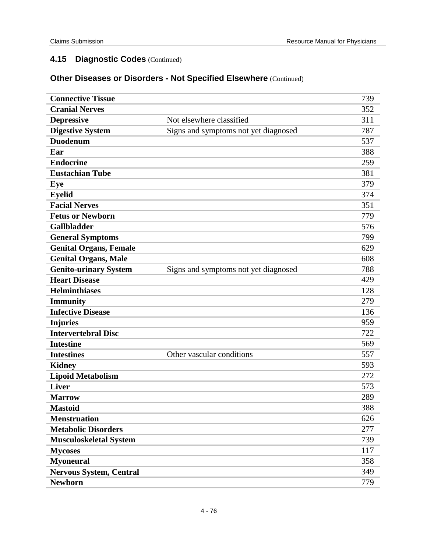### **Other Diseases or Disorders - Not Specified Elsewhere** (Continued)

| <b>Connective Tissue</b>       |                                      | 739 |
|--------------------------------|--------------------------------------|-----|
| <b>Cranial Nerves</b>          |                                      | 352 |
| <b>Depressive</b>              | Not elsewhere classified             | 311 |
| <b>Digestive System</b>        | Signs and symptoms not yet diagnosed | 787 |
| <b>Duodenum</b>                |                                      | 537 |
| Ear                            |                                      | 388 |
| <b>Endocrine</b>               |                                      | 259 |
| <b>Eustachian Tube</b>         |                                      | 381 |
| Eye                            |                                      | 379 |
| <b>Eyelid</b>                  |                                      | 374 |
| <b>Facial Nerves</b>           |                                      | 351 |
| <b>Fetus or Newborn</b>        |                                      | 779 |
| <b>Gallbladder</b>             |                                      | 576 |
| <b>General Symptoms</b>        |                                      | 799 |
| <b>Genital Organs, Female</b>  |                                      | 629 |
| <b>Genital Organs, Male</b>    |                                      | 608 |
| <b>Genito-urinary System</b>   | Signs and symptoms not yet diagnosed | 788 |
| <b>Heart Disease</b>           |                                      | 429 |
| <b>Helminthiases</b>           |                                      | 128 |
| <b>Immunity</b>                |                                      | 279 |
| <b>Infective Disease</b>       |                                      | 136 |
| <b>Injuries</b>                |                                      | 959 |
| <b>Intervertebral Disc</b>     |                                      | 722 |
| <b>Intestine</b>               |                                      | 569 |
| <b>Intestines</b>              | Other vascular conditions            | 557 |
| <b>Kidney</b>                  |                                      | 593 |
| <b>Lipoid Metabolism</b>       |                                      | 272 |
| <b>Liver</b>                   |                                      | 573 |
| <b>Marrow</b>                  |                                      | 289 |
| <b>Mastoid</b>                 |                                      | 388 |
| <b>Menstruation</b>            |                                      | 626 |
| <b>Metabolic Disorders</b>     |                                      | 277 |
| <b>Musculoskeletal System</b>  |                                      | 739 |
| <b>Mycoses</b>                 |                                      | 117 |
| <b>Myoneural</b>               |                                      | 358 |
| <b>Nervous System, Central</b> |                                      | 349 |
| <b>Newborn</b>                 |                                      | 779 |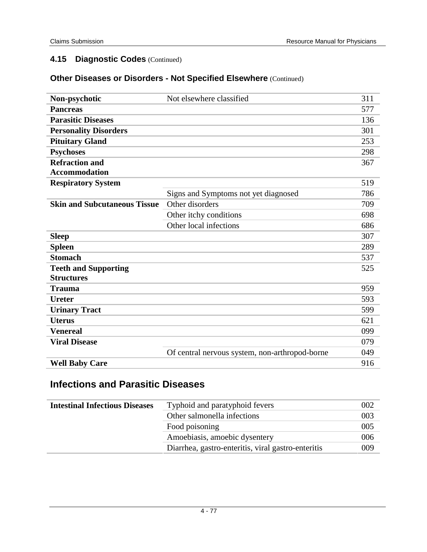### **Other Diseases or Disorders - Not Specified Elsewhere** (Continued)

| Non-psychotic                       | Not elsewhere classified                       | 311 |
|-------------------------------------|------------------------------------------------|-----|
| <b>Pancreas</b>                     |                                                | 577 |
| <b>Parasitic Diseases</b>           |                                                | 136 |
| <b>Personality Disorders</b>        |                                                | 301 |
| <b>Pituitary Gland</b>              |                                                | 253 |
| <b>Psychoses</b>                    |                                                | 298 |
| <b>Refraction and</b>               |                                                | 367 |
| <b>Accommodation</b>                |                                                |     |
| <b>Respiratory System</b>           |                                                | 519 |
|                                     | Signs and Symptoms not yet diagnosed           | 786 |
| <b>Skin and Subcutaneous Tissue</b> | Other disorders                                | 709 |
|                                     | Other itchy conditions                         | 698 |
|                                     | Other local infections                         | 686 |
| <b>Sleep</b>                        |                                                | 307 |
| <b>Spleen</b>                       |                                                | 289 |
| <b>Stomach</b>                      |                                                | 537 |
| <b>Teeth and Supporting</b>         |                                                | 525 |
| <b>Structures</b>                   |                                                |     |
| <b>Trauma</b>                       |                                                | 959 |
| <b>Ureter</b>                       |                                                | 593 |
| <b>Urinary Tract</b>                |                                                | 599 |
| <b>Uterus</b>                       |                                                | 621 |
| <b>Venereal</b>                     |                                                | 099 |
| <b>Viral Disease</b>                |                                                | 079 |
|                                     | Of central nervous system, non-arthropod-borne | 049 |
| <b>Well Baby Care</b>               |                                                | 916 |
|                                     |                                                |     |

### **Infections and Parasitic Diseases**

| <b>Intestinal Infectious Diseases</b> | Typhoid and paratyphoid fevers                     | 002 |
|---------------------------------------|----------------------------------------------------|-----|
|                                       | Other salmonella infections                        | 003 |
|                                       | Food poisoning                                     | 005 |
|                                       | Amoebiasis, amoebic dysentery                      | 006 |
|                                       | Diarrhea, gastro-enteritis, viral gastro-enteritis | 009 |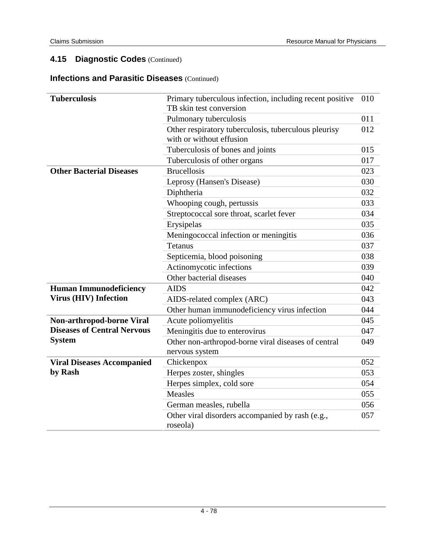#### **Infections and Parasitic Diseases** (Continued)

| <b>Tuberculosis</b>                | Primary tuberculous infection, including recent positive                         | 010 |
|------------------------------------|----------------------------------------------------------------------------------|-----|
|                                    | TB skin test conversion                                                          |     |
|                                    | Pulmonary tuberculosis                                                           | 011 |
|                                    | Other respiratory tuberculosis, tuberculous pleurisy<br>with or without effusion | 012 |
|                                    | Tuberculosis of bones and joints                                                 | 015 |
|                                    | Tuberculosis of other organs                                                     | 017 |
| <b>Other Bacterial Diseases</b>    | <b>Brucellosis</b>                                                               | 023 |
|                                    | Leprosy (Hansen's Disease)                                                       | 030 |
|                                    | Diphtheria                                                                       | 032 |
|                                    | Whooping cough, pertussis                                                        | 033 |
|                                    | Streptococcal sore throat, scarlet fever                                         | 034 |
|                                    | Erysipelas                                                                       | 035 |
|                                    | Meningococcal infection or meningitis                                            | 036 |
|                                    | Tetanus                                                                          | 037 |
|                                    | Septicemia, blood poisoning                                                      | 038 |
|                                    | Actinomycotic infections                                                         | 039 |
|                                    | Other bacterial diseases                                                         | 040 |
| <b>Human Immunodeficiency</b>      | <b>AIDS</b>                                                                      | 042 |
| <b>Virus (HIV) Infection</b>       | AIDS-related complex (ARC)                                                       | 043 |
|                                    | Other human immunodeficiency virus infection                                     | 044 |
| Non-arthropod-borne Viral          | Acute poliomyelitis                                                              | 045 |
| <b>Diseases of Central Nervous</b> | Meningitis due to enterovirus                                                    | 047 |
| <b>System</b>                      | Other non-arthropod-borne viral diseases of central                              | 049 |
|                                    | nervous system                                                                   |     |
| <b>Viral Diseases Accompanied</b>  | Chickenpox                                                                       | 052 |
| by Rash                            | Herpes zoster, shingles                                                          | 053 |
|                                    | Herpes simplex, cold sore                                                        | 054 |
|                                    | Measles                                                                          | 055 |
|                                    | German measles, rubella                                                          | 056 |
|                                    | Other viral disorders accompanied by rash (e.g.,<br>roseola)                     | 057 |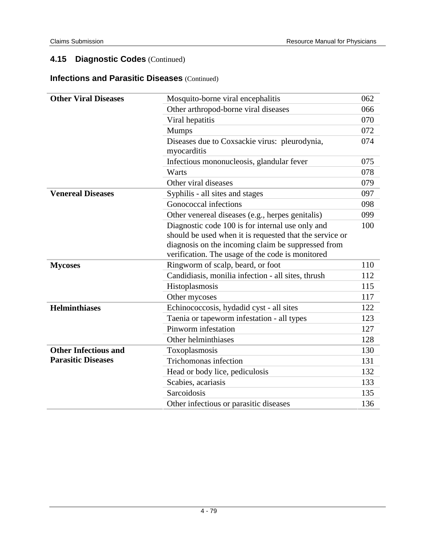#### **Infections and Parasitic Diseases** (Continued)

| <b>Other Viral Diseases</b> | Mosquito-borne viral encephalitis                       | 062 |
|-----------------------------|---------------------------------------------------------|-----|
|                             | Other arthropod-borne viral diseases                    | 066 |
|                             | Viral hepatitis                                         | 070 |
|                             | <b>Mumps</b>                                            | 072 |
|                             | Diseases due to Coxsackie virus: pleurodynia,           | 074 |
|                             | myocarditis                                             |     |
|                             | Infectious mononucleosis, glandular fever               | 075 |
|                             | Warts                                                   | 078 |
|                             | Other viral diseases                                    | 079 |
| <b>Venereal Diseases</b>    | Syphilis - all sites and stages                         | 097 |
|                             | Gonococcal infections                                   | 098 |
|                             | Other venereal diseases (e.g., herpes genitalis)        | 099 |
|                             | Diagnostic code 100 is for internal use only and        | 100 |
|                             | should be used when it is requested that the service or |     |
|                             | diagnosis on the incoming claim be suppressed from      |     |
|                             | verification. The usage of the code is monitored        |     |
| <b>Mycoses</b>              | Ringworm of scalp, beard, or foot                       | 110 |
|                             | Candidiasis, monilia infection - all sites, thrush      | 112 |
|                             | Histoplasmosis                                          | 115 |
|                             | Other mycoses                                           | 117 |
| <b>Helminthiases</b>        | Echinococcosis, hydadid cyst - all sites                | 122 |
|                             | Taenia or tapeworm infestation - all types              | 123 |
|                             | Pinworm infestation                                     | 127 |
|                             | Other helminthiases                                     | 128 |
| <b>Other Infectious and</b> | Toxoplasmosis                                           | 130 |
| <b>Parasitic Diseases</b>   | Trichomonas infection                                   | 131 |
|                             | Head or body lice, pediculosis                          | 132 |
|                             | Scabies, acariasis                                      | 133 |
|                             | Sarcoidosis                                             | 135 |
|                             | Other infectious or parasitic diseases                  | 136 |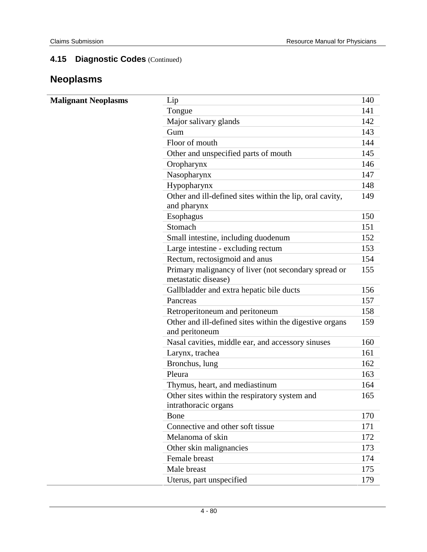# **Neoplasms**

| <b>Malignant Neoplasms</b> | Lip                                                                         | 140 |
|----------------------------|-----------------------------------------------------------------------------|-----|
|                            | Tongue                                                                      | 141 |
|                            | Major salivary glands                                                       | 142 |
|                            | Gum                                                                         | 143 |
|                            | Floor of mouth                                                              | 144 |
|                            | Other and unspecified parts of mouth                                        | 145 |
|                            | Oropharynx                                                                  | 146 |
|                            | Nasopharynx                                                                 | 147 |
|                            | Hypopharynx                                                                 | 148 |
|                            | Other and ill-defined sites within the lip, oral cavity,<br>and pharynx     | 149 |
|                            | Esophagus                                                                   | 150 |
|                            | Stomach                                                                     | 151 |
|                            | Small intestine, including duodenum                                         | 152 |
|                            | Large intestine - excluding rectum                                          | 153 |
|                            | Rectum, rectosigmoid and anus                                               | 154 |
|                            | Primary malignancy of liver (not secondary spread or<br>metastatic disease) | 155 |
|                            | Gallbladder and extra hepatic bile ducts                                    | 156 |
|                            | Pancreas                                                                    | 157 |
|                            | Retroperitoneum and peritoneum                                              | 158 |
|                            | Other and ill-defined sites within the digestive organs<br>and peritoneum   | 159 |
|                            | Nasal cavities, middle ear, and accessory sinuses                           | 160 |
|                            | Larynx, trachea                                                             | 161 |
|                            | Bronchus, lung                                                              | 162 |
|                            | Pleura                                                                      | 163 |
|                            | Thymus, heart, and mediastinum                                              | 164 |
|                            | Other sites within the respiratory system and                               | 165 |
|                            | intrathoracic organs                                                        |     |
|                            | Bone                                                                        | 170 |
|                            | Connective and other soft tissue                                            | 171 |
|                            | Melanoma of skin                                                            | 172 |
|                            | Other skin malignancies                                                     | 173 |
|                            | Female breast                                                               | 174 |
|                            | Male breast                                                                 | 175 |
|                            | Uterus, part unspecified                                                    | 179 |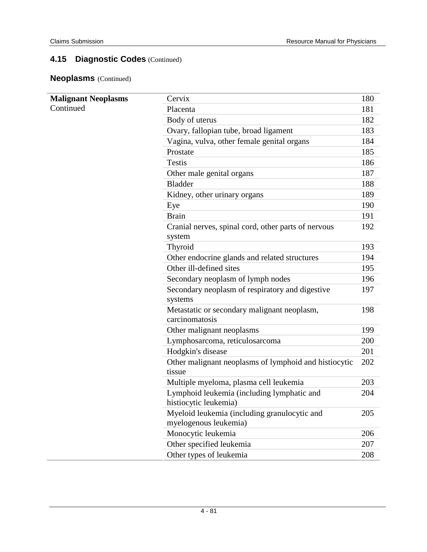**Neoplasms** (Continued)

| <b>Malignant Neoplasms</b> | Cervix                                                          | 180 |
|----------------------------|-----------------------------------------------------------------|-----|
| Continued                  | Placenta                                                        | 181 |
|                            | Body of uterus                                                  | 182 |
|                            | Ovary, fallopian tube, broad ligament                           | 183 |
|                            | Vagina, vulva, other female genital organs                      | 184 |
|                            | Prostate                                                        | 185 |
|                            | <b>Testis</b>                                                   | 186 |
|                            | Other male genital organs                                       | 187 |
|                            | <b>Bladder</b>                                                  | 188 |
|                            | Kidney, other urinary organs                                    | 189 |
|                            | Eye                                                             | 190 |
|                            | <b>Brain</b>                                                    | 191 |
|                            | Cranial nerves, spinal cord, other parts of nervous             | 192 |
|                            | system                                                          |     |
|                            | Thyroid                                                         | 193 |
|                            | Other endocrine glands and related structures                   | 194 |
|                            | Other ill-defined sites                                         | 195 |
|                            | Secondary neoplasm of lymph nodes                               | 196 |
|                            | Secondary neoplasm of respiratory and digestive                 | 197 |
|                            | systems                                                         |     |
|                            | Metastatic or secondary malignant neoplasm,<br>carcinomatosis   | 198 |
|                            | Other malignant neoplasms                                       | 199 |
|                            | Lymphosarcoma, reticulosarcoma                                  | 200 |
|                            | Hodgkin's disease                                               | 201 |
|                            | Other malignant neoplasms of lymphoid and histiocytic<br>tissue | 202 |
|                            | Multiple myeloma, plasma cell leukemia                          | 203 |
|                            | Lymphoid leukemia (including lymphatic and                      | 204 |
|                            | histiocytic leukemia)                                           |     |
|                            | Myeloid leukemia (including granulocytic and                    | 205 |
|                            | myelogenous leukemia)                                           |     |
|                            | Monocytic leukemia                                              | 206 |
|                            | Other specified leukemia                                        | 207 |
|                            | Other types of leukemia                                         | 208 |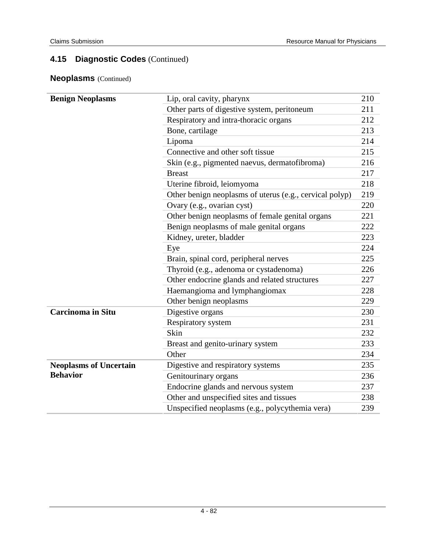### **Neoplasms** (Continued)

| <b>Benign Neoplasms</b>       | Lip, oral cavity, pharynx                               | 210 |
|-------------------------------|---------------------------------------------------------|-----|
|                               | Other parts of digestive system, peritoneum             | 211 |
|                               | Respiratory and intra-thoracic organs                   | 212 |
|                               | Bone, cartilage                                         | 213 |
|                               | Lipoma                                                  | 214 |
|                               | Connective and other soft tissue                        | 215 |
|                               | Skin (e.g., pigmented naevus, dermatofibroma)           | 216 |
|                               | <b>Breast</b>                                           | 217 |
|                               | Uterine fibroid, leiomyoma                              | 218 |
|                               | Other benign neoplasms of uterus (e.g., cervical polyp) | 219 |
|                               | Ovary (e.g., ovarian cyst)                              | 220 |
|                               | Other benign neoplasms of female genital organs         | 221 |
|                               | Benign neoplasms of male genital organs                 | 222 |
|                               | Kidney, ureter, bladder                                 | 223 |
|                               | Eye                                                     | 224 |
|                               | Brain, spinal cord, peripheral nerves                   | 225 |
|                               | Thyroid (e.g., adenoma or cystadenoma)                  | 226 |
|                               | Other endocrine glands and related structures           | 227 |
|                               | Haemangioma and lymphangiomax                           | 228 |
|                               | Other benign neoplasms                                  | 229 |
| <b>Carcinoma in Situ</b>      | Digestive organs                                        | 230 |
|                               | Respiratory system                                      | 231 |
|                               | Skin                                                    | 232 |
|                               | Breast and genito-urinary system                        | 233 |
|                               | Other                                                   | 234 |
| <b>Neoplasms of Uncertain</b> | Digestive and respiratory systems                       | 235 |
| <b>Behavior</b>               | Genitourinary organs                                    | 236 |
|                               | Endocrine glands and nervous system                     | 237 |
|                               | Other and unspecified sites and tissues                 | 238 |
|                               | Unspecified neoplasms (e.g., polycythemia vera)         | 239 |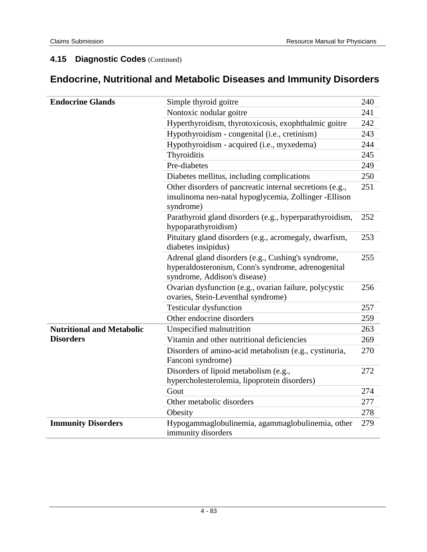# **Endocrine, Nutritional and Metabolic Diseases and Immunity Disorders**

| <b>Endocrine Glands</b>          | Simple thyroid goitre                                                                                                                    | 240 |
|----------------------------------|------------------------------------------------------------------------------------------------------------------------------------------|-----|
|                                  | Nontoxic nodular goitre                                                                                                                  | 241 |
|                                  | Hyperthyroidism, thyrotoxicosis, exophthalmic goitre                                                                                     | 242 |
|                                  | Hypothyroidism - congenital (i.e., cretinism)                                                                                            | 243 |
|                                  | Hypothyroidism - acquired (i.e., myxedema)                                                                                               | 244 |
|                                  | Thyroiditis                                                                                                                              | 245 |
|                                  | Pre-diabetes                                                                                                                             | 249 |
|                                  | Diabetes mellitus, including complications                                                                                               | 250 |
|                                  | Other disorders of pancreatic internal secretions (e.g.,<br>insulinoma neo-natal hypoglycemia, Zollinger -Ellison<br>syndrome)           | 251 |
|                                  | Parathyroid gland disorders (e.g., hyperparathyroidism,<br>hypoparathyroidism)                                                           | 252 |
|                                  | Pituitary gland disorders (e.g., acromegaly, dwarfism,<br>diabetes insipidus)                                                            | 253 |
|                                  | Adrenal gland disorders (e.g., Cushing's syndrome,<br>hyperaldosteronism, Conn's syndrome, adrenogenital<br>syndrome, Addison's disease) | 255 |
|                                  | Ovarian dysfunction (e.g., ovarian failure, polycystic<br>ovaries, Stein-Leventhal syndrome)                                             | 256 |
|                                  | <b>Testicular dysfunction</b>                                                                                                            | 257 |
|                                  | Other endocrine disorders                                                                                                                | 259 |
| <b>Nutritional and Metabolic</b> | Unspecified malnutrition                                                                                                                 | 263 |
| <b>Disorders</b>                 | Vitamin and other nutritional deficiencies                                                                                               | 269 |
|                                  | Disorders of amino-acid metabolism (e.g., cystinuria,<br>Fanconi syndrome)                                                               | 270 |
|                                  | Disorders of lipoid metabolism (e.g.,<br>hypercholesterolemia, lipoprotein disorders)                                                    | 272 |
|                                  | Gout                                                                                                                                     | 274 |
|                                  | Other metabolic disorders                                                                                                                | 277 |
|                                  | Obesity                                                                                                                                  | 278 |
| <b>Immunity Disorders</b>        | Hypogammaglobulinemia, agammaglobulinemia, other<br>immunity disorders                                                                   | 279 |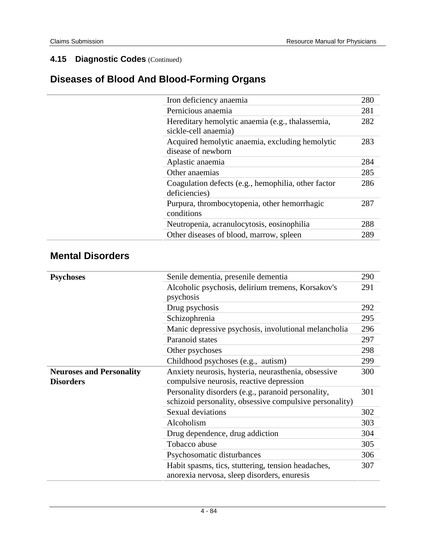# **Diseases of Blood And Blood-Forming Organs**

| Iron deficiency anaemia                                                  | 280 |
|--------------------------------------------------------------------------|-----|
| Pernicious anaemia                                                       | 281 |
| Hereditary hemolytic anaemia (e.g., thalassemia,<br>sickle-cell anaemia) | 282 |
| Acquired hemolytic anaemia, excluding hemolytic<br>disease of newborn    | 283 |
| Aplastic anaemia                                                         | 284 |
| Other anaemias                                                           | 285 |
| Coagulation defects (e.g., hemophilia, other factor<br>deficiencies)     | 286 |
| Purpura, thrombocytopenia, other hemorrhagic<br>conditions               | 287 |
| Neutropenia, acranulocytosis, eosinophilia                               | 288 |
| Other diseases of blood, marrow, spleen                                  | 289 |
|                                                                          |     |

### **Mental Disorders**

| <b>Psychoses</b>                | Senile dementia, presenile dementia                     | 290 |
|---------------------------------|---------------------------------------------------------|-----|
|                                 | Alcoholic psychosis, delirium tremens, Korsakov's       | 291 |
|                                 | psychosis                                               |     |
|                                 | Drug psychosis                                          | 292 |
|                                 | Schizophrenia                                           | 295 |
|                                 | Manic depressive psychosis, involutional melancholia    | 296 |
|                                 | Paranoid states                                         | 297 |
|                                 | Other psychoses                                         | 298 |
|                                 | Childhood psychoses (e.g., autism)                      | 299 |
| <b>Neuroses and Personality</b> | Anxiety neurosis, hysteria, neurasthenia, obsessive     | 300 |
| <b>Disorders</b>                | compulsive neurosis, reactive depression                |     |
|                                 | Personality disorders (e.g., paranoid personality,      | 301 |
|                                 | schizoid personality, obsessive compulsive personality) |     |
|                                 | Sexual deviations                                       | 302 |
|                                 | Alcoholism                                              | 303 |
|                                 | Drug dependence, drug addiction                         | 304 |
|                                 | Tobacco abuse                                           | 305 |
|                                 | Psychosomatic disturbances                              | 306 |
|                                 | Habit spasms, tics, stuttering, tension headaches,      | 307 |
|                                 | anorexia nervosa, sleep disorders, enuresis             |     |
|                                 |                                                         |     |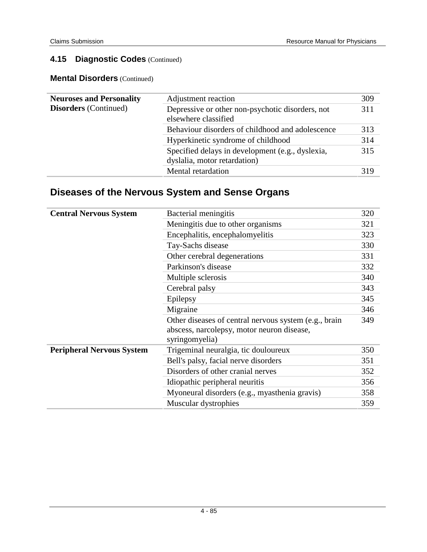**Mental Disorders** (Continued)

| <b>Neuroses and Personality</b> | Adjustment reaction                                                              | 309 |
|---------------------------------|----------------------------------------------------------------------------------|-----|
| <b>Disorders</b> (Continued)    | Depressive or other non-psychotic disorders, not<br>elsewhere classified         | 311 |
|                                 | Behaviour disorders of childhood and adolescence                                 | 313 |
|                                 | Hyperkinetic syndrome of childhood                                               | 314 |
|                                 | Specified delays in development (e.g., dyslexia,<br>dyslalia, motor retardation) | 315 |
|                                 | Mental retardation                                                               | 319 |

# **Diseases of the Nervous System and Sense Organs**

| <b>Central Nervous System</b>    | Bacterial meningitis                                                                                                  | 320 |
|----------------------------------|-----------------------------------------------------------------------------------------------------------------------|-----|
|                                  | Meningitis due to other organisms                                                                                     | 321 |
|                                  | Encephalitis, encephalomyelitis                                                                                       | 323 |
|                                  | Tay-Sachs disease                                                                                                     | 330 |
|                                  | Other cerebral degenerations                                                                                          | 331 |
|                                  | Parkinson's disease                                                                                                   | 332 |
|                                  | Multiple sclerosis                                                                                                    | 340 |
|                                  | Cerebral palsy                                                                                                        | 343 |
|                                  | Epilepsy                                                                                                              | 345 |
|                                  | Migraine                                                                                                              | 346 |
|                                  | Other diseases of central nervous system (e.g., brain<br>abscess, narcolepsy, motor neuron disease,<br>syringomyelia) | 349 |
| <b>Peripheral Nervous System</b> | Trigeminal neuralgia, tic douloureux                                                                                  | 350 |
|                                  | Bell's palsy, facial nerve disorders                                                                                  | 351 |
|                                  | Disorders of other cranial nerves                                                                                     | 352 |
|                                  | Idiopathic peripheral neuritis                                                                                        | 356 |
|                                  | Myoneural disorders (e.g., myasthenia gravis)                                                                         | 358 |
|                                  | Muscular dystrophies                                                                                                  | 359 |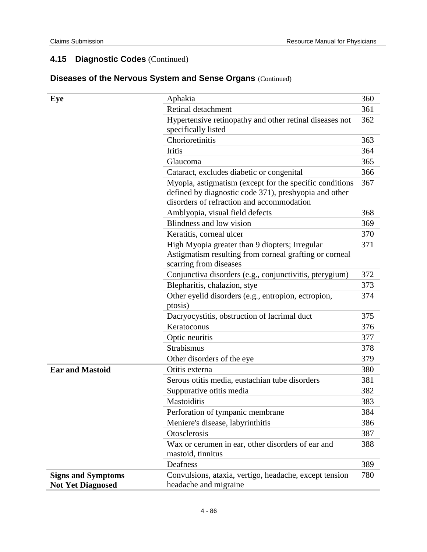| Eye                                                   | Aphakia                                                                                                                                                       | 360 |
|-------------------------------------------------------|---------------------------------------------------------------------------------------------------------------------------------------------------------------|-----|
|                                                       | Retinal detachment                                                                                                                                            | 361 |
|                                                       | Hypertensive retinopathy and other retinal diseases not<br>specifically listed                                                                                | 362 |
|                                                       | Chorioretinitis                                                                                                                                               | 363 |
|                                                       | <b>Iritis</b>                                                                                                                                                 | 364 |
|                                                       | Glaucoma                                                                                                                                                      | 365 |
|                                                       | Cataract, excludes diabetic or congenital                                                                                                                     | 366 |
|                                                       | Myopia, astigmatism (except for the specific conditions<br>defined by diagnostic code 371), presbyopia and other<br>disorders of refraction and accommodation | 367 |
|                                                       | Amblyopia, visual field defects                                                                                                                               | 368 |
|                                                       | Blindness and low vision                                                                                                                                      | 369 |
|                                                       | Keratitis, corneal ulcer                                                                                                                                      | 370 |
|                                                       | High Myopia greater than 9 diopters; Irregular<br>Astigmatism resulting from corneal grafting or corneal<br>scarring from diseases                            | 371 |
|                                                       | Conjunctiva disorders (e.g., conjunctivitis, pterygium)                                                                                                       | 372 |
|                                                       | Blepharitis, chalazion, stye                                                                                                                                  | 373 |
|                                                       | Other eyelid disorders (e.g., entropion, ectropion,<br>ptosis)                                                                                                | 374 |
|                                                       | Dacryocystitis, obstruction of lacrimal duct                                                                                                                  | 375 |
|                                                       | Keratoconus                                                                                                                                                   | 376 |
|                                                       | Optic neuritis                                                                                                                                                | 377 |
|                                                       | <b>Strabismus</b>                                                                                                                                             | 378 |
|                                                       | Other disorders of the eye                                                                                                                                    | 379 |
| <b>Ear and Mastoid</b>                                | Otitis externa                                                                                                                                                | 380 |
|                                                       | Serous otitis media, eustachian tube disorders                                                                                                                | 381 |
|                                                       | Suppurative otitis media                                                                                                                                      | 382 |
|                                                       | Mastoiditis                                                                                                                                                   | 383 |
|                                                       | Perforation of tympanic membrane                                                                                                                              | 384 |
|                                                       | Meniere's disease, labyrinthitis                                                                                                                              | 386 |
|                                                       | Otosclerosis                                                                                                                                                  | 387 |
|                                                       | Wax or cerumen in ear, other disorders of ear and<br>mastoid, tinnitus                                                                                        | 388 |
|                                                       | Deafness                                                                                                                                                      | 389 |
| <b>Signs and Symptoms</b><br><b>Not Yet Diagnosed</b> | Convulsions, ataxia, vertigo, headache, except tension<br>headache and migraine                                                                               | 780 |

### **Diseases of the Nervous System and Sense Organs** (Continued)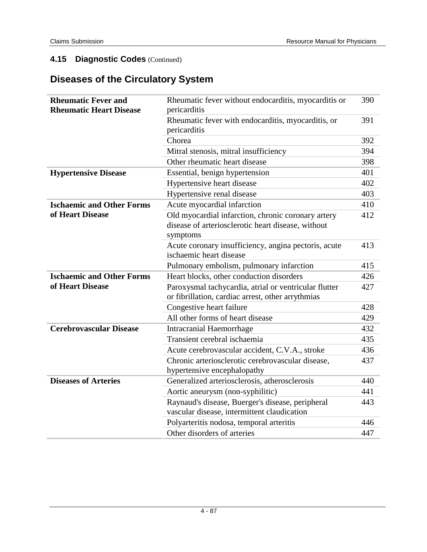# **Diseases of the Circulatory System**

| <b>Rheumatic Fever and</b><br><b>Rheumatic Heart Disease</b> | Rheumatic fever without endocarditis, myocarditis or<br>pericarditis                                                 | 390 |
|--------------------------------------------------------------|----------------------------------------------------------------------------------------------------------------------|-----|
|                                                              | Rheumatic fever with endocarditis, myocarditis, or                                                                   | 391 |
|                                                              | pericarditis                                                                                                         |     |
|                                                              | Chorea                                                                                                               | 392 |
|                                                              | Mitral stenosis, mitral insufficiency                                                                                | 394 |
|                                                              | Other rheumatic heart disease                                                                                        | 398 |
| <b>Hypertensive Disease</b>                                  | Essential, benign hypertension                                                                                       | 401 |
|                                                              | Hypertensive heart disease                                                                                           | 402 |
|                                                              | Hypertensive renal disease                                                                                           | 403 |
| <b>Ischaemic and Other Forms</b>                             | Acute myocardial infarction                                                                                          | 410 |
| of Heart Disease                                             | Old myocardial infarction, chronic coronary artery<br>disease of arteriosclerotic heart disease, without<br>symptoms | 412 |
|                                                              | Acute coronary insufficiency, angina pectoris, acute<br>ischaemic heart disease                                      | 413 |
|                                                              | Pulmonary embolism, pulmonary infarction                                                                             | 415 |
| <b>Ischaemic and Other Forms</b>                             | Heart blocks, other conduction disorders                                                                             | 426 |
| of Heart Disease                                             | Paroxysmal tachycardia, atrial or ventricular flutter                                                                | 427 |
|                                                              | or fibrillation, cardiac arrest, other arrythmias                                                                    |     |
|                                                              | Congestive heart failure                                                                                             | 428 |
|                                                              | All other forms of heart disease                                                                                     | 429 |
| <b>Cerebrovascular Disease</b>                               | <b>Intracranial Haemorrhage</b>                                                                                      | 432 |
|                                                              | Transient cerebral ischaemia                                                                                         | 435 |
|                                                              | Acute cerebrovascular accident, C.V.A., stroke                                                                       | 436 |
|                                                              | Chronic arteriosclerotic cerebrovascular disease,<br>hypertensive encephalopathy                                     | 437 |
| <b>Diseases of Arteries</b>                                  | Generalized arteriosclerosis, atherosclerosis                                                                        | 440 |
|                                                              | Aortic aneurysm (non-syphilitic)                                                                                     | 441 |
|                                                              | Raynaud's disease, Buerger's disease, peripheral                                                                     | 443 |
|                                                              | vascular disease, intermittent claudication                                                                          |     |
|                                                              | Polyarteritis nodosa, temporal arteritis                                                                             | 446 |
|                                                              | Other disorders of arteries                                                                                          | 447 |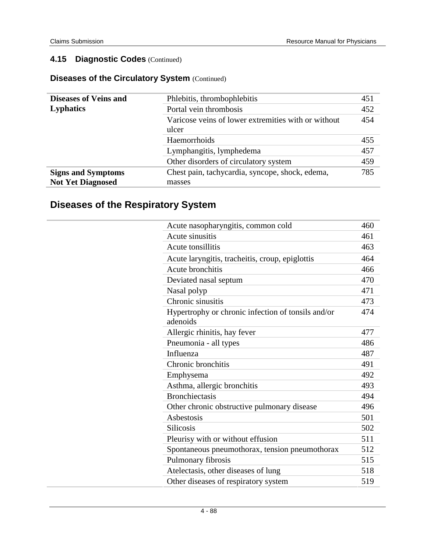### **Diseases of the Circulatory System** (Continued)

| <b>Diseases of Veins and</b> | Phlebitis, thrombophlebitis                                  | 451 |
|------------------------------|--------------------------------------------------------------|-----|
| <b>Lyphatics</b>             | Portal vein thrombosis                                       | 452 |
|                              | Varicose veins of lower extremities with or without<br>ulcer | 454 |
|                              | Haemorrhoids                                                 | 455 |
|                              | Lymphangitis, lymphedema                                     | 457 |
|                              | Other disorders of circulatory system                        | 459 |
| <b>Signs and Symptoms</b>    | Chest pain, tachycardia, syncope, shock, edema,              | 785 |
| <b>Not Yet Diagnosed</b>     | masses                                                       |     |

# **Diseases of the Respiratory System**

| Acute nasopharyngitis, common cold                             | 460 |
|----------------------------------------------------------------|-----|
| Acute sinusitis                                                | 461 |
| Acute tonsillitis                                              | 463 |
| Acute laryngitis, tracheitis, croup, epiglottis                | 464 |
| Acute bronchitis                                               | 466 |
| Deviated nasal septum                                          | 470 |
| Nasal polyp                                                    | 471 |
| Chronic sinusitis                                              | 473 |
| Hypertrophy or chronic infection of tonsils and/or<br>adenoids | 474 |
| Allergic rhinitis, hay fever                                   | 477 |
| Pneumonia - all types                                          | 486 |
| Influenza                                                      | 487 |
| Chronic bronchitis                                             | 491 |
| Emphysema                                                      | 492 |
| Asthma, allergic bronchitis                                    | 493 |
| <b>Bronchiectasis</b>                                          | 494 |
| Other chronic obstructive pulmonary disease                    | 496 |
| Asbestosis                                                     | 501 |
| <b>Silicosis</b>                                               | 502 |
| Pleurisy with or without effusion                              | 511 |
| Spontaneous pneumothorax, tension pneumothorax                 | 512 |
| Pulmonary fibrosis                                             | 515 |
| Atelectasis, other diseases of lung                            | 518 |
| Other diseases of respiratory system                           | 519 |
|                                                                |     |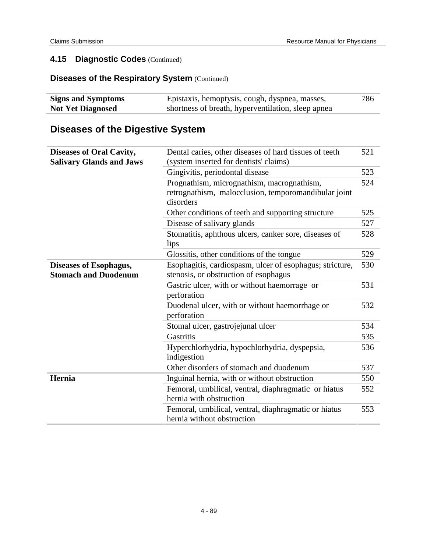### **Diseases of the Respiratory System (Continued)**

| <b>Signs and Symptoms</b> | Epistaxis, hemoptysis, cough, dyspnea, masses,     | 786 |
|---------------------------|----------------------------------------------------|-----|
| <b>Not Yet Diagnosed</b>  | shortness of breath, hyperventilation, sleep apnea |     |

# **Diseases of the Digestive System**

| <b>Diseases of Oral Cavity,</b><br><b>Salivary Glands and Jaws</b> | Dental caries, other diseases of hard tissues of teeth<br>(system inserted for dentists' claims)                | 521 |
|--------------------------------------------------------------------|-----------------------------------------------------------------------------------------------------------------|-----|
|                                                                    | Gingivitis, periodontal disease                                                                                 | 523 |
|                                                                    | Prognathism, micrognathism, macrognathism,<br>retrognathism, malocclusion, temporomandibular joint<br>disorders | 524 |
|                                                                    | Other conditions of teeth and supporting structure                                                              | 525 |
|                                                                    | Disease of salivary glands                                                                                      | 527 |
|                                                                    | Stomatitis, aphthous ulcers, canker sore, diseases of<br>lips                                                   | 528 |
|                                                                    | Glossitis, other conditions of the tongue                                                                       | 529 |
| <b>Diseases of Esophagus,</b><br><b>Stomach and Duodenum</b>       | Esophagitis, cardiospasm, ulcer of esophagus; stricture,<br>stenosis, or obstruction of esophagus               | 530 |
|                                                                    | Gastric ulcer, with or without haemorrage or<br>perforation                                                     | 531 |
|                                                                    | Duodenal ulcer, with or without haemorrhage or<br>perforation                                                   | 532 |
|                                                                    | Stomal ulcer, gastrojejunal ulcer                                                                               | 534 |
|                                                                    | Gastritis                                                                                                       | 535 |
|                                                                    | Hyperchlorhydria, hypochlorhydria, dyspepsia,<br>indigestion                                                    | 536 |
|                                                                    | Other disorders of stomach and duodenum                                                                         | 537 |
| Hernia                                                             | Inguinal hernia, with or without obstruction                                                                    | 550 |
|                                                                    | Femoral, umbilical, ventral, diaphragmatic or hiatus<br>hernia with obstruction                                 | 552 |
|                                                                    | Femoral, umbilical, ventral, diaphragmatic or hiatus<br>hernia without obstruction                              | 553 |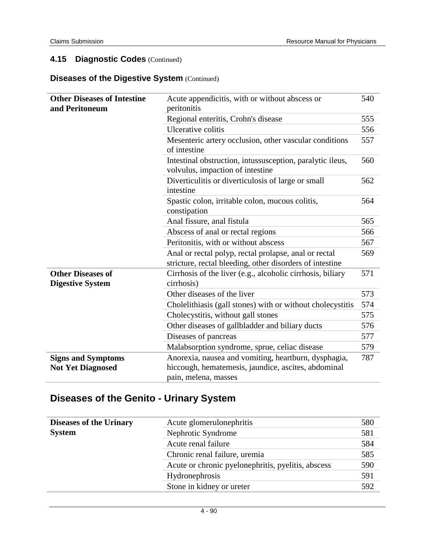#### **Diseases of the Digestive System** (Continued)

| <b>Other Diseases of Intestine</b><br>and Peritoneum  | Acute appendicitis, with or without abscess or<br>peritonitis                                                     | 540 |
|-------------------------------------------------------|-------------------------------------------------------------------------------------------------------------------|-----|
|                                                       | Regional enteritis, Crohn's disease                                                                               | 555 |
|                                                       | Ulcerative colitis                                                                                                | 556 |
|                                                       | Mesenteric artery occlusion, other vascular conditions<br>of intestine                                            | 557 |
|                                                       | Intestinal obstruction, intussusception, paralytic ileus,<br>volvulus, impaction of intestine                     | 560 |
|                                                       | Diverticulitis or diverticulosis of large or small<br>intestine                                                   | 562 |
|                                                       | Spastic colon, irritable colon, mucous colitis,<br>constipation                                                   | 564 |
|                                                       | Anal fissure, anal fistula                                                                                        | 565 |
|                                                       | Abscess of anal or rectal regions                                                                                 | 566 |
|                                                       | Peritonitis, with or without abscess                                                                              | 567 |
|                                                       | Anal or rectal polyp, rectal prolapse, anal or rectal<br>stricture, rectal bleeding, other disorders of intestine | 569 |
| <b>Other Diseases of</b><br><b>Digestive System</b>   | Cirrhosis of the liver (e.g., alcoholic cirrhosis, biliary<br>cirrhosis)                                          | 571 |
|                                                       | Other diseases of the liver                                                                                       | 573 |
|                                                       | Cholelithiasis (gall stones) with or without cholecystitis                                                        | 574 |
|                                                       | Cholecystitis, without gall stones                                                                                | 575 |
|                                                       | Other diseases of gallbladder and biliary ducts                                                                   | 576 |
|                                                       | Diseases of pancreas                                                                                              | 577 |
|                                                       | Malabsorption syndrome, sprue, celiac disease                                                                     | 579 |
| <b>Signs and Symptoms</b><br><b>Not Yet Diagnosed</b> | Anorexia, nausea and vomiting, heartburn, dysphagia,<br>hiccough, hematemesis, jaundice, ascites, abdominal       | 787 |
|                                                       | pain, melena, masses                                                                                              |     |

## **Diseases of the Genito - Urinary System**

| <b>Diseases of the Urinary</b> | Acute glomerulonephritis                           | 580 |
|--------------------------------|----------------------------------------------------|-----|
| <b>System</b>                  | Nephrotic Syndrome                                 | 581 |
|                                | Acute renal failure                                | 584 |
|                                | Chronic renal failure, uremia                      | 585 |
|                                | Acute or chronic pyelonephritis, pyelitis, abscess | 590 |
|                                | Hydronephrosis                                     | 591 |
|                                | Stone in kidney or ureter                          | 592 |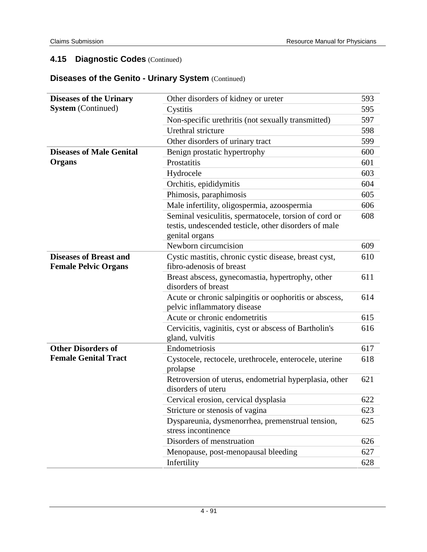### **Diseases of the Genito - Urinary System** (Continued)

| <b>Diseases of the Urinary</b>                               | Other disorders of kidney or ureter                                                                                              | 593 |
|--------------------------------------------------------------|----------------------------------------------------------------------------------------------------------------------------------|-----|
| <b>System</b> (Continued)                                    | Cystitis                                                                                                                         | 595 |
|                                                              | Non-specific urethritis (not sexually transmitted)                                                                               | 597 |
|                                                              | Urethral stricture                                                                                                               | 598 |
|                                                              | Other disorders of urinary tract                                                                                                 | 599 |
| <b>Diseases of Male Genital</b>                              | Benign prostatic hypertrophy                                                                                                     | 600 |
| Organs                                                       | Prostatitis                                                                                                                      | 601 |
|                                                              | Hydrocele                                                                                                                        | 603 |
|                                                              | Orchitis, epididymitis                                                                                                           | 604 |
|                                                              | Phimosis, paraphimosis                                                                                                           | 605 |
|                                                              | Male infertility, oligospermia, azoospermia                                                                                      | 606 |
|                                                              | Seminal vesiculitis, spermatocele, torsion of cord or<br>testis, undescended testicle, other disorders of male<br>genital organs | 608 |
|                                                              | Newborn circumcision                                                                                                             | 609 |
| <b>Diseases of Breast and</b><br><b>Female Pelvic Organs</b> | Cystic mastitis, chronic cystic disease, breast cyst,<br>fibro-adenosis of breast                                                | 610 |
|                                                              | Breast abscess, gynecomastia, hypertrophy, other<br>disorders of breast                                                          | 611 |
|                                                              | Acute or chronic salpingitis or oophoritis or abscess,<br>pelvic inflammatory disease                                            | 614 |
|                                                              | Acute or chronic endometritis                                                                                                    | 615 |
|                                                              | Cervicitis, vaginitis, cyst or abscess of Bartholin's<br>gland, vulvitis                                                         | 616 |
| <b>Other Disorders of</b>                                    | Endometriosis                                                                                                                    | 617 |
| <b>Female Genital Tract</b>                                  | Cystocele, rectocele, urethrocele, enterocele, uterine<br>prolapse                                                               | 618 |
|                                                              | Retroversion of uterus, endometrial hyperplasia, other<br>disorders of uteru                                                     | 621 |
|                                                              | Cervical erosion, cervical dysplasia                                                                                             | 622 |
|                                                              | Stricture or stenosis of vagina                                                                                                  | 623 |
|                                                              | Dyspareunia, dysmenorrhea, premenstrual tension,<br>stress incontinence                                                          | 625 |
|                                                              | Disorders of menstruation                                                                                                        | 626 |
|                                                              | Menopause, post-menopausal bleeding                                                                                              | 627 |
|                                                              | Infertility                                                                                                                      | 628 |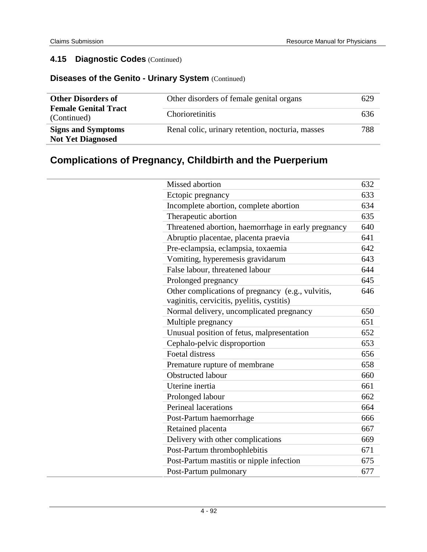## **Diseases of the Genito - Urinary System** (Continued)

| <b>Other Disorders of</b><br><b>Female Genital Tract</b><br>(Continued) | Other disorders of female genital organs<br>Chorioretinitis | 629<br>636 |
|-------------------------------------------------------------------------|-------------------------------------------------------------|------------|
| <b>Signs and Symptoms</b><br><b>Not Yet Diagnosed</b>                   | Renal colic, urinary retention, nocturia, masses            | 788        |

# **Complications of Pregnancy, Childbirth and the Puerperium**

| Missed abortion                                                                                 | 632 |
|-------------------------------------------------------------------------------------------------|-----|
| Ectopic pregnancy                                                                               | 633 |
| Incomplete abortion, complete abortion                                                          | 634 |
| Therapeutic abortion                                                                            | 635 |
| Threatened abortion, haemorrhage in early pregnancy                                             | 640 |
| Abruptio placentae, placenta praevia                                                            | 641 |
| Pre-eclampsia, eclampsia, toxaemia                                                              | 642 |
| Vomiting, hyperemesis gravidarum                                                                | 643 |
| False labour, threatened labour                                                                 | 644 |
| Prolonged pregnancy                                                                             | 645 |
| Other complications of pregnancy (e.g., vulvitis,<br>vaginitis, cervicitis, pyelitis, cystitis) | 646 |
| Normal delivery, uncomplicated pregnancy                                                        | 650 |
| Multiple pregnancy                                                                              | 651 |
| Unusual position of fetus, malpresentation                                                      | 652 |
| Cephalo-pelvic disproportion                                                                    | 653 |
| <b>Foetal distress</b>                                                                          | 656 |
| Premature rupture of membrane                                                                   | 658 |
| <b>Obstructed labour</b>                                                                        | 660 |
| Uterine inertia                                                                                 | 661 |
| Prolonged labour                                                                                | 662 |
| Perineal lacerations                                                                            | 664 |
| Post-Partum haemorrhage                                                                         | 666 |
| Retained placenta                                                                               | 667 |
| Delivery with other complications                                                               | 669 |
| Post-Partum thrombophlebitis                                                                    | 671 |
| Post-Partum mastitis or nipple infection                                                        | 675 |
| Post-Partum pulmonary                                                                           | 677 |
|                                                                                                 |     |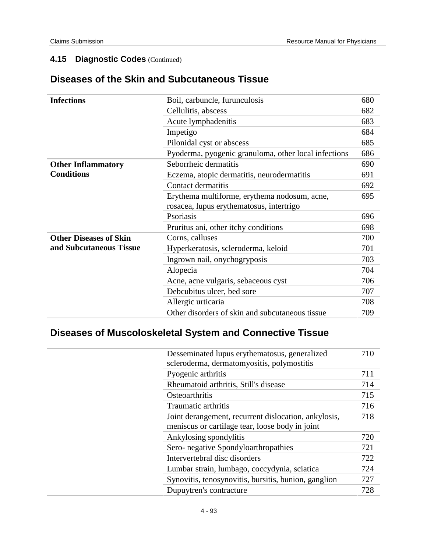### **Diseases of the Skin and Subcutaneous Tissue**

| <b>Infections</b>             | Boil, carbuncle, furunculosis                        | 680 |
|-------------------------------|------------------------------------------------------|-----|
|                               | Cellulitis, abscess                                  | 682 |
|                               | Acute lymphadenitis                                  | 683 |
|                               | Impetigo                                             | 684 |
|                               | Pilonidal cyst or abscess                            | 685 |
|                               | Pyoderma, pyogenic granuloma, other local infections | 686 |
| <b>Other Inflammatory</b>     | Seborrheic dermatitis                                | 690 |
| <b>Conditions</b>             | Eczema, atopic dermatitis, neurodermatitis           | 691 |
|                               | Contact dermatitis                                   | 692 |
|                               | Erythema multiforme, erythema nodosum, acne,         | 695 |
|                               | rosacea, lupus erythematosus, intertrigo             |     |
|                               | Psoriasis                                            | 696 |
|                               | Pruritus ani, other itchy conditions                 | 698 |
| <b>Other Diseases of Skin</b> | Corns, calluses                                      | 700 |
| and Subcutaneous Tissue       | Hyperkeratosis, scleroderma, keloid                  | 701 |
|                               | Ingrown nail, onychogryposis                         | 703 |
|                               | Alopecia                                             | 704 |
|                               | Acne, acne vulgaris, sebaceous cyst                  | 706 |
|                               | Debcubitus ulcer, bed sore                           | 707 |
|                               | Allergic urticaria                                   | 708 |
|                               | Other disorders of skin and subcutaneous tissue      | 709 |

# **Diseases of Muscoloskeletal System and Connective Tissue**

| Desseminated lupus erythematosus, generalized<br>scleroderma, dermatomyositis, polymostitis | 710 |
|---------------------------------------------------------------------------------------------|-----|
| Pyogenic arthritis                                                                          | 711 |
| Rheumatoid arthritis, Still's disease                                                       | 714 |
| Osteoarthritis                                                                              | 715 |
| Traumatic arthritis                                                                         | 716 |
| Joint derangement, recurrent dislocation, ankylosis,                                        | 718 |
| meniscus or cartilage tear, loose body in joint                                             |     |
| Ankylosing spondylitis                                                                      | 720 |
| Sero- negative Spondyloarthropathies                                                        | 721 |
| Intervertebral disc disorders                                                               | 722 |
| Lumbar strain, lumbago, coccydynia, sciatica                                                | 724 |
| Synovitis, tenosynovitis, bursitis, bunion, ganglion                                        | 727 |
| Dupuytren's contracture                                                                     | 728 |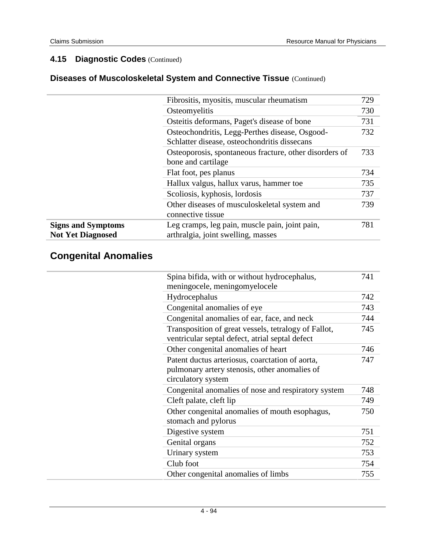## **Diseases of Muscoloskeletal System and Connective Tissue** (Continued)

|                           | Fibrositis, myositis, muscular rheumatism              | 729 |
|---------------------------|--------------------------------------------------------|-----|
|                           | Osteomyelitis                                          | 730 |
|                           | Osteitis deformans, Paget's disease of bone            | 731 |
|                           | Osteochondritis, Legg-Perthes disease, Osgood-         | 732 |
|                           | Schlatter disease, osteochondritis dissecans           |     |
|                           | Osteoporosis, spontaneous fracture, other disorders of | 733 |
|                           | bone and cartilage                                     |     |
|                           | Flat foot, pes planus                                  | 734 |
|                           | Hallux valgus, hallux varus, hammer toe                | 735 |
|                           | Scoliosis, kyphosis, lordosis                          | 737 |
|                           | Other diseases of musculoskeletal system and           | 739 |
|                           | connective tissue                                      |     |
| <b>Signs and Symptoms</b> | Leg cramps, leg pain, muscle pain, joint pain,         | 781 |
| <b>Not Yet Diagnosed</b>  | arthralgia, joint swelling, masses                     |     |

# **Congenital Anomalies**

| Spina bifida, with or without hydrocephalus,<br>meningocele, meningomyelocele                                          | 741 |
|------------------------------------------------------------------------------------------------------------------------|-----|
| Hydrocephalus                                                                                                          | 742 |
| Congenital anomalies of eye                                                                                            | 743 |
| Congenital anomalies of ear, face, and neck                                                                            | 744 |
| Transposition of great vessels, tetralogy of Fallot,<br>ventricular septal defect, atrial septal defect                | 745 |
| Other congenital anomalies of heart                                                                                    | 746 |
| Patent ductus arteriosus, coarctation of aorta,<br>pulmonary artery stenosis, other anomalies of<br>circulatory system | 747 |
| Congenital anomalies of nose and respiratory system                                                                    | 748 |
| Cleft palate, cleft lip                                                                                                | 749 |
| Other congenital anomalies of mouth esophagus,<br>stomach and pylorus                                                  | 750 |
| Digestive system                                                                                                       | 751 |
| Genital organs                                                                                                         | 752 |
| Urinary system                                                                                                         | 753 |
| Club foot                                                                                                              | 754 |
| Other congenital anomalies of limbs                                                                                    | 755 |
|                                                                                                                        |     |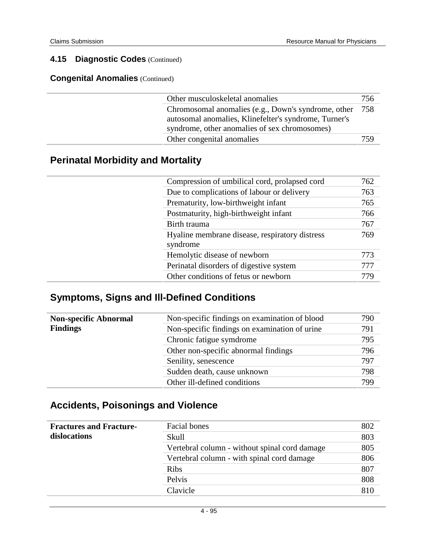**Congenital Anomalies** (Continued)

| Other musculoskeletal anomalies                       | 756 |
|-------------------------------------------------------|-----|
| Chromosomal anomalies (e.g., Down's syndrome, other   | 758 |
| autosomal anomalies, Klinefelter's syndrome, Turner's |     |
| syndrome, other anomalies of sex chromosomes)         |     |
| Other congenital anomalies                            | 759 |

# **Perinatal Morbidity and Mortality**

| Compression of umbilical cord, prolapsed cord              | 762 |
|------------------------------------------------------------|-----|
| Due to complications of labour or delivery                 | 763 |
| Prematurity, low-birthweight infant                        | 765 |
| Postmaturity, high-birthweight infant                      | 766 |
| Birth trauma                                               | 767 |
| Hyaline membrane disease, respiratory distress<br>syndrome | 769 |
| Hemolytic disease of newborn                               | 773 |
| Perinatal disorders of digestive system                    | 777 |
| Other conditions of fetus or newborn                       | 779 |

# **Symptoms, Signs and Ill-Defined Conditions**

| <b>Non-specific Abnormal</b> | Non-specific findings on examination of blood | 790 |
|------------------------------|-----------------------------------------------|-----|
| <b>Findings</b>              | Non-specific findings on examination of urine | 791 |
|                              | Chronic fatigue symdrome                      | 795 |
|                              | Other non-specific abnormal findings          | 796 |
|                              | Senility, senescence                          | 797 |
|                              | Sudden death, cause unknown                   | 798 |
|                              | Other ill-defined conditions                  | 799 |

## **Accidents, Poisonings and Violence**

| <b>Fractures and Fracture-</b> | Facial bones                                  | 802 |
|--------------------------------|-----------------------------------------------|-----|
| dislocations                   | Skull                                         | 803 |
|                                | Vertebral column - without spinal cord damage | 805 |
|                                | Vertebral column - with spinal cord damage    | 806 |
|                                | <b>Ribs</b>                                   | 807 |
|                                | Pelvis                                        | 808 |
|                                | Clavicle                                      | 810 |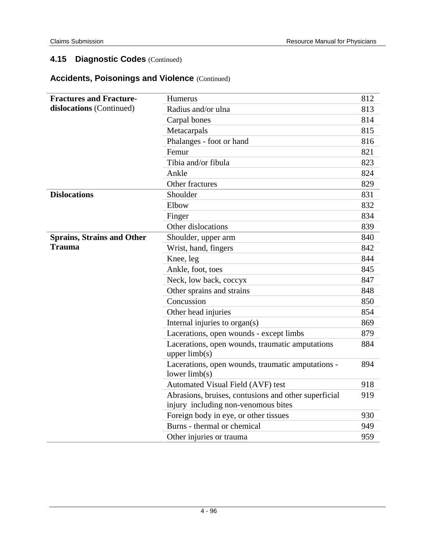### **Accidents, Poisonings and Violence** (Continued)

| <b>Fractures and Fracture-</b>    | Humerus                                                                                     | 812 |
|-----------------------------------|---------------------------------------------------------------------------------------------|-----|
| dislocations (Continued)          | Radius and/or ulna                                                                          | 813 |
|                                   | Carpal bones                                                                                | 814 |
|                                   | Metacarpals                                                                                 | 815 |
|                                   | Phalanges - foot or hand                                                                    | 816 |
|                                   | Femur                                                                                       | 821 |
|                                   | Tibia and/or fibula                                                                         | 823 |
|                                   | Ankle                                                                                       | 824 |
|                                   | Other fractures                                                                             | 829 |
| <b>Dislocations</b>               | Shoulder                                                                                    | 831 |
|                                   | Elbow                                                                                       | 832 |
|                                   | Finger                                                                                      | 834 |
|                                   | Other dislocations                                                                          | 839 |
| <b>Sprains, Strains and Other</b> | Shoulder, upper arm                                                                         | 840 |
| <b>Trauma</b>                     | Wrist, hand, fingers                                                                        | 842 |
|                                   | Knee, leg                                                                                   | 844 |
|                                   | Ankle, foot, toes                                                                           | 845 |
|                                   | Neck, low back, coccyx                                                                      | 847 |
|                                   | Other sprains and strains                                                                   | 848 |
|                                   | Concussion                                                                                  | 850 |
|                                   | Other head injuries                                                                         | 854 |
|                                   | Internal injuries to organ(s)                                                               | 869 |
|                                   | Lacerations, open wounds - except limbs                                                     | 879 |
|                                   | Lacerations, open wounds, traumatic amputations<br>upper $limb(s)$                          | 884 |
|                                   | Lacerations, open wounds, traumatic amputations -<br>lower $limb(s)$                        | 894 |
|                                   | Automated Visual Field (AVF) test                                                           | 918 |
|                                   | Abrasions, bruises, contusions and other superficial<br>injury including non-venomous bites | 919 |
|                                   | Foreign body in eye, or other tissues                                                       | 930 |
|                                   | Burns - thermal or chemical                                                                 | 949 |
|                                   | Other injuries or trauma                                                                    | 959 |
|                                   |                                                                                             |     |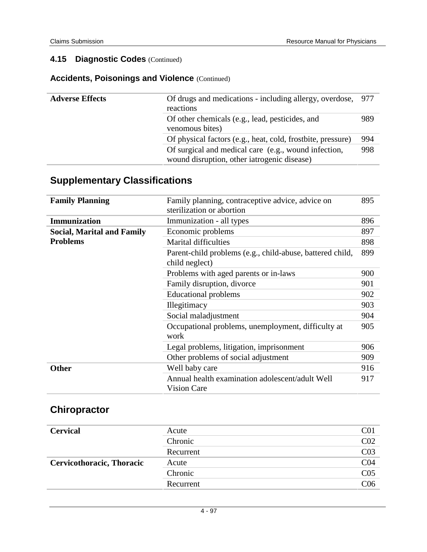### **Accidents, Poisonings and Violence** (Continued)

| <b>Adverse Effects</b> | Of drugs and medications - including allergy, overdose, 977<br>reactions                            |     |
|------------------------|-----------------------------------------------------------------------------------------------------|-----|
|                        | Of other chemicals (e.g., lead, pesticides, and<br>venomous bites)                                  | 989 |
|                        | Of physical factors (e.g., heat, cold, frostbite, pressure)                                         | 994 |
|                        | Of surgical and medical care (e.g., wound infection,<br>wound disruption, other iatrogenic disease) | 998 |

## **Supplementary Classifications**

| <b>Family Planning</b>            | Family planning, contraceptive advice, advice on<br>sterilization or abortion | 895 |
|-----------------------------------|-------------------------------------------------------------------------------|-----|
| <b>Immunization</b>               | Immunization - all types                                                      | 896 |
| <b>Social, Marital and Family</b> | Economic problems                                                             | 897 |
| <b>Problems</b>                   | <b>Marital difficulties</b>                                                   | 898 |
|                                   | Parent-child problems (e.g., child-abuse, battered child,<br>child neglect)   | 899 |
|                                   | Problems with aged parents or in-laws                                         | 900 |
|                                   | Family disruption, divorce                                                    | 901 |
|                                   | <b>Educational problems</b>                                                   | 902 |
|                                   | Illegitimacy                                                                  | 903 |
|                                   | Social maladjustment                                                          | 904 |
|                                   | Occupational problems, unemployment, difficulty at<br>work                    | 905 |
|                                   | Legal problems, litigation, imprisonment                                      | 906 |
|                                   | Other problems of social adjustment                                           | 909 |
| <b>Other</b>                      | Well baby care                                                                | 916 |
|                                   | Annual health examination adolescent/adult Well<br><b>Vision Care</b>         | 917 |

# **Chiropractor**

| <b>Cervical</b>           | Acute     | CO <sub>1</sub> |
|---------------------------|-----------|-----------------|
|                           | Chronic   | CO <sub>2</sub> |
|                           | Recurrent | CO <sub>3</sub> |
| Cervicothoracic, Thoracic | Acute     | CO <sub>4</sub> |
|                           | Chronic   | C <sub>05</sub> |
|                           | Recurrent | C <sub>06</sub> |
|                           |           |                 |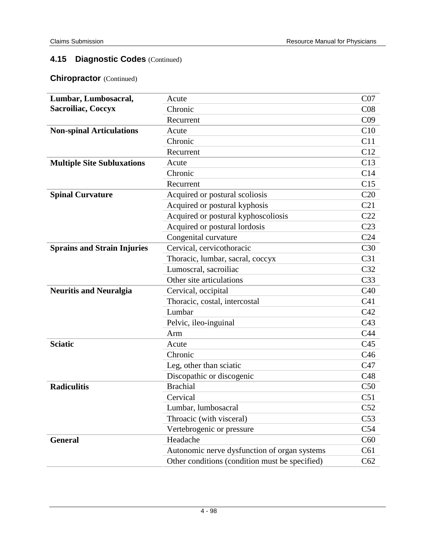### **Chiropractor** (Continued)

| Lumbar, Lumbosacral,               | Acute                                          | CO7             |
|------------------------------------|------------------------------------------------|-----------------|
| <b>Sacroiliac, Coccyx</b>          | Chronic                                        | C <sub>08</sub> |
|                                    | Recurrent                                      | C <sub>09</sub> |
| <b>Non-spinal Articulations</b>    | Acute                                          | C10             |
|                                    | Chronic                                        | C11             |
|                                    | Recurrent                                      | C12             |
| <b>Multiple Site Subluxations</b>  | Acute                                          | C13             |
|                                    | Chronic                                        | C14             |
|                                    | Recurrent                                      | C15             |
| <b>Spinal Curvature</b>            | Acquired or postural scoliosis                 | C20             |
|                                    | Acquired or postural kyphosis                  | C21             |
|                                    | Acquired or postural kyphoscoliosis            | C22             |
|                                    | Acquired or postural lordosis                  | C <sub>23</sub> |
|                                    | Congenital curvature                           | C <sub>24</sub> |
| <b>Sprains and Strain Injuries</b> | Cervical, cervicothoracic                      | C30             |
|                                    | Thoracic, lumbar, sacral, coccyx               | C <sub>31</sub> |
|                                    | Lumoscral, sacroiliac                          | C32             |
|                                    | Other site articulations                       | C <sub>33</sub> |
| <b>Neuritis and Neuralgia</b>      | Cervical, occipital                            | C40             |
|                                    | Thoracic, costal, intercostal                  | C <sub>41</sub> |
|                                    | Lumbar                                         | C42             |
|                                    | Pelvic, ileo-inguinal                          | C43             |
|                                    | Arm                                            | C <sub>44</sub> |
| <b>Sciatic</b>                     | Acute                                          | C <sub>45</sub> |
|                                    | Chronic                                        | C46             |
|                                    | Leg, other than sciatic                        | C47             |
|                                    | Discopathic or discogenic                      | C48             |
| <b>Radiculitis</b>                 | <b>Brachial</b>                                | C50             |
|                                    | Cervical                                       | C51             |
|                                    | Lumbar, lumbosacral                            | C52             |
|                                    | Throacic (with visceral)                       | C53             |
|                                    | Vertebrogenic or pressure                      | C54             |
| <b>General</b>                     | Headache                                       | C60             |
|                                    | Autonomic nerve dysfunction of organ systems   | C61             |
|                                    | Other conditions (condition must be specified) | C62             |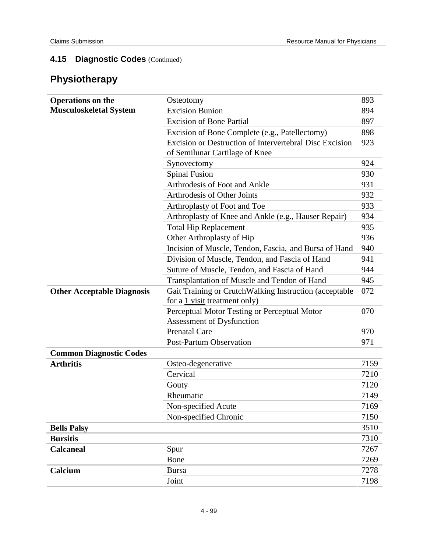# **Physiotherapy**

| <b>Operations on the</b>          | Osteotomy                                                                                 |      |
|-----------------------------------|-------------------------------------------------------------------------------------------|------|
| <b>Musculoskeletal System</b>     | <b>Excision Bunion</b>                                                                    |      |
|                                   | <b>Excision of Bone Partial</b>                                                           |      |
|                                   | Excision of Bone Complete (e.g., Patellectomy)                                            |      |
|                                   | Excision or Destruction of Intervertebral Disc Excision<br>of Semilunar Cartilage of Knee | 923  |
|                                   | Synovectomy                                                                               | 924  |
|                                   | <b>Spinal Fusion</b>                                                                      | 930  |
|                                   | Arthrodesis of Foot and Ankle                                                             | 931  |
|                                   | Arthrodesis of Other Joints                                                               | 932  |
|                                   | Arthroplasty of Foot and Toe                                                              | 933  |
|                                   | Arthroplasty of Knee and Ankle (e.g., Hauser Repair)                                      | 934  |
|                                   | <b>Total Hip Replacement</b>                                                              | 935  |
|                                   | Other Arthroplasty of Hip                                                                 | 936  |
|                                   | Incision of Muscle, Tendon, Fascia, and Bursa of Hand                                     | 940  |
|                                   | Division of Muscle, Tendon, and Fascia of Hand                                            | 941  |
|                                   | Suture of Muscle, Tendon, and Fascia of Hand                                              | 944  |
|                                   | Transplantation of Muscle and Tendon of Hand                                              | 945  |
| <b>Other Acceptable Diagnosis</b> | Gait Training or CrutchWalking Instruction (acceptable                                    | 072  |
|                                   | for a 1 visit treatment only)                                                             |      |
|                                   | Perceptual Motor Testing or Perceptual Motor                                              | 070  |
|                                   | Assessment of Dysfunction                                                                 |      |
|                                   | <b>Prenatal Care</b>                                                                      | 970  |
|                                   | <b>Post-Partum Observation</b>                                                            | 971  |
| <b>Common Diagnostic Codes</b>    |                                                                                           |      |
| <b>Arthritis</b>                  | Osteo-degenerative                                                                        | 7159 |
|                                   | Cervical                                                                                  | 7210 |
|                                   | Gouty                                                                                     | 7120 |
|                                   | Rheumatic                                                                                 | 7149 |
|                                   | Non-specified Acute                                                                       | 7169 |
|                                   | Non-specified Chronic                                                                     | 7150 |
| <b>Bells Palsy</b>                |                                                                                           | 3510 |
| <b>Bursitis</b>                   |                                                                                           | 7310 |
| <b>Calcaneal</b>                  | Spur                                                                                      | 7267 |
|                                   | Bone                                                                                      | 7269 |
| Calcium                           | <b>Bursa</b>                                                                              | 7278 |
|                                   | Joint                                                                                     | 7198 |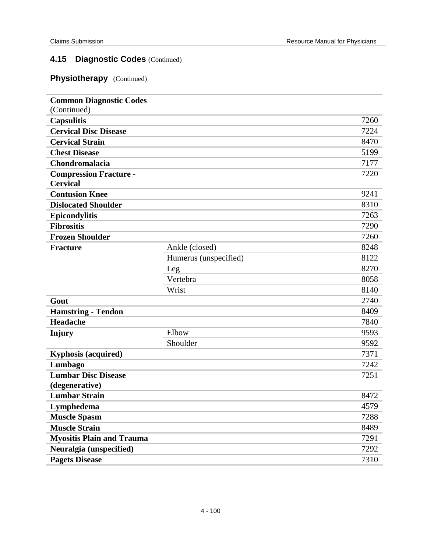### **Physiotherapy** (Continued)

| <b>Common Diagnostic Codes</b>   |                       |      |
|----------------------------------|-----------------------|------|
| (Continued)                      |                       |      |
| <b>Capsulitis</b>                |                       | 7260 |
| <b>Cervical Disc Disease</b>     |                       | 7224 |
| <b>Cervical Strain</b>           |                       | 8470 |
| <b>Chest Disease</b>             |                       | 5199 |
| Chondromalacia                   |                       | 7177 |
| <b>Compression Fracture -</b>    |                       | 7220 |
| <b>Cervical</b>                  |                       |      |
| <b>Contusion Knee</b>            |                       | 9241 |
| <b>Dislocated Shoulder</b>       |                       | 8310 |
| <b>Epicondylitis</b>             |                       | 7263 |
| <b>Fibrositis</b>                |                       | 7290 |
| <b>Frozen Shoulder</b>           |                       | 7260 |
| <b>Fracture</b>                  | Ankle (closed)        | 8248 |
|                                  | Humerus (unspecified) | 8122 |
|                                  | Leg                   | 8270 |
|                                  | Vertebra              | 8058 |
|                                  | Wrist                 | 8140 |
| Gout                             |                       | 2740 |
| <b>Hamstring - Tendon</b>        |                       | 8409 |
| Headache                         |                       | 7840 |
| <b>Injury</b>                    | Elbow                 | 9593 |
|                                  | Shoulder              | 9592 |
| <b>Kyphosis (acquired)</b>       |                       | 7371 |
| Lumbago                          |                       | 7242 |
| <b>Lumbar Disc Disease</b>       |                       | 7251 |
| (degenerative)                   |                       |      |
| <b>Lumbar Strain</b>             |                       | 8472 |
| Lymphedema                       |                       | 4579 |
| <b>Muscle Spasm</b>              |                       | 7288 |
| <b>Muscle Strain</b>             |                       | 8489 |
| <b>Myositis Plain and Trauma</b> |                       | 7291 |
| Neuralgia (unspecified)          |                       | 7292 |
| <b>Pagets Disease</b>            |                       | 7310 |